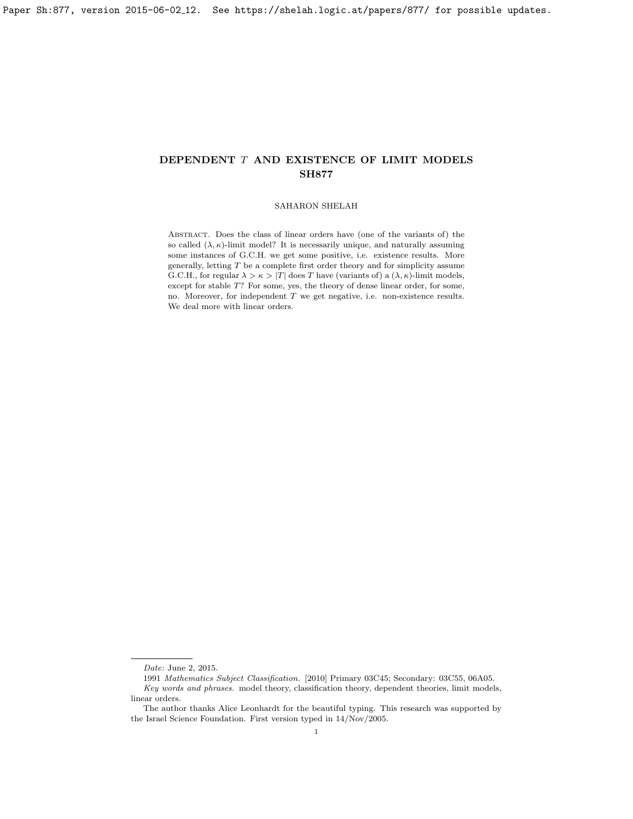# SAHARON SHELAH

Abstract. Does the class of linear orders have (one of the variants of) the so called  $(\lambda, \kappa)$ -limit model? It is necessarily unique, and naturally assuming some instances of G.C.H. we get some positive, i.e. existence results. More generally, letting  $T$  be a complete first order theory and for simplicity assume G.C.H., for regular  $\lambda > \kappa > |T|$  does T have (variants of) a  $(\lambda, \kappa)$ -limit models, except for stable T? For some, yes, the theory of dense linear order, for some, no. Moreover, for independent T we get negative, i.e. non-existence results. We deal more with linear orders.

Date: June 2, 2015.

<sup>1991</sup> Mathematics Subject Classification. [2010] Primary 03C45; Secondary: 03C55, 06A05. Key words and phrases. model theory, classification theory, dependent theories, limit models, linear orders.

The author thanks Alice Leonhardt for the beautiful typing. This research was supported by the Israel Science Foundation. First version typed in 14/Nov/2005.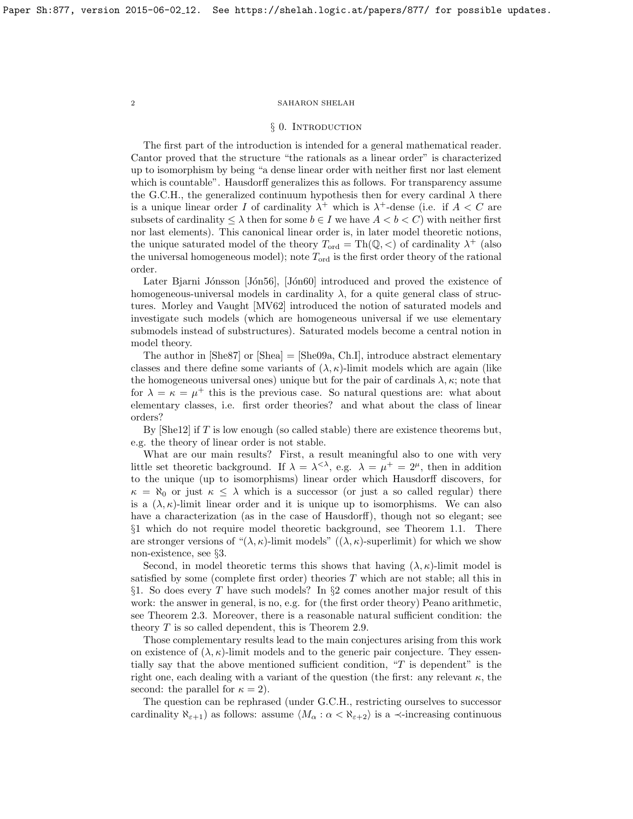### § 0. INTRODUCTION

The first part of the introduction is intended for a general mathematical reader. Cantor proved that the structure "the rationals as a linear order" is characterized up to isomorphism by being "a dense linear order with neither first nor last element which is countable". Hausdorff generalizes this as follows. For transparency assume the G.C.H., the generalized continuum hypothesis then for every cardinal  $\lambda$  there is a unique linear order I of cardinality  $\lambda^+$  which is  $\lambda^+$ -dense (i.e. if  $A < C$  are subsets of cardinality  $\leq \lambda$  then for some  $b \in I$  we have  $A < b < C$  with neither first nor last elements). This canonical linear order is, in later model theoretic notions, the unique saturated model of the theory  $T_{ord} = \text{Th}(\mathbb{Q}, \lt)$  of cardinality  $\lambda^+$  (also the universal homogeneous model); note  $T_{\text{ord}}$  is the first order theory of the rational order.

Later Bjarni Jónsson [Jón56], [Jón60] introduced and proved the existence of homogeneous-universal models in cardinality  $\lambda$ , for a quite general class of structures. Morley and Vaught [\[MV62\]](#page-27-0) introduced the notion of saturated models and investigate such models (which are homogeneous universal if we use elementary submodels instead of substructures). Saturated models become a central notion in model theory.

The author in  $[\text{She87}]$  or  $[\text{Shea}] = [\text{She09a}, \text{Ch.I}]$ , introduce abstract elementary classes and there define some variants of  $(\lambda, \kappa)$ -limit models which are again (like the homogeneous universal ones) unique but for the pair of cardinals  $\lambda$ ,  $\kappa$ ; note that for  $\lambda = \kappa = \mu^+$  this is the previous case. So natural questions are: what about elementary classes, i.e. first order theories? and what about the class of linear orders?

By  $[She12]$  if T is low enough (so called stable) there are existence theorems but, e.g. the theory of linear order is not stable.

What are our main results? First, a result meaningful also to one with very little set theoretic background. If  $\lambda = \lambda^{<\lambda}$ , e.g.  $\lambda = \mu^+ = 2^{\mu}$ , then in addition to the unique (up to isomorphisms) linear order which Hausdorff discovers, for  $\kappa = \aleph_0$  or just  $\kappa \leq \lambda$  which is a successor (or just a so called regular) there is a  $(\lambda, \kappa)$ -limit linear order and it is unique up to isomorphisms. We can also have a characterization (as in the case of Hausdorff), though not so elegant; see §1 which do not require model theoretic background, see Theorem [1.1.](#page-8-0) There are stronger versions of " $(\lambda, \kappa)$ -limit models"  $((\lambda, \kappa)$ -superlimit) for which we show non-existence, see §3.

Second, in model theoretic terms this shows that having  $(\lambda, \kappa)$ -limit model is satisfied by some (complete first order) theories T which are not stable; all this in §1. So does every  $T$  have such models? In §2 comes another major result of this work: the answer in general, is no, e.g. for (the first order theory) Peano arithmetic, see Theorem [2.3.](#page-13-0) Moreover, there is a reasonable natural sufficient condition: the theory T is so called dependent, this is Theorem [2.9.](#page-15-0)

Those complementary results lead to the main conjectures arising from this work on existence of  $(\lambda, \kappa)$ -limit models and to the generic pair conjecture. They essentially say that the above mentioned sufficient condition,  $T$  is dependent" is the right one, each dealing with a variant of the question (the first: any relevant  $\kappa$ , the second: the parallel for  $\kappa = 2$ ).

The question can be rephrased (under G.C.H., restricting ourselves to successor cardinality  $\aleph_{\epsilon+1}$ ) as follows: assume  $\langle M_{\alpha} : \alpha < \aleph_{\epsilon+2} \rangle$  is a  $\prec$ -increasing continuous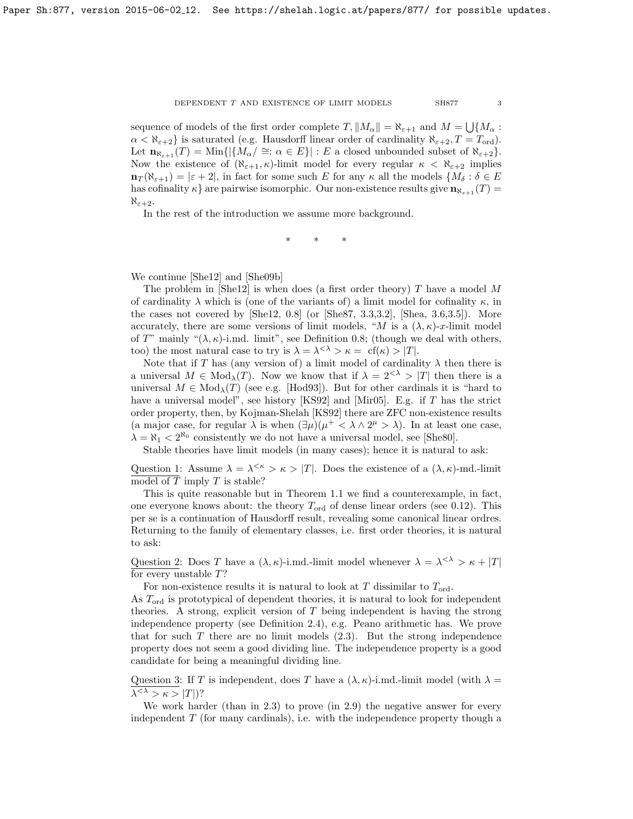#### DEPENDENT  $T$  AND EXISTENCE OF LIMIT MODELS  $\begin{array}{lll} \text{SH877} \end{array}$  3

sequence of models of the first order complete  $T$ ,  $||M_{\alpha}|| = \aleph_{\varepsilon+1}$  and  $M = \bigcup \{M_{\alpha} :$  $\alpha < \aleph_{\epsilon+2}$  is saturated (e.g. Hausdorff linear order of cardinality  $\aleph_{\epsilon+2}$ ,  $T = T_{\text{ord}}$ ). Let  $\mathbf{n}_{\aleph_{\varepsilon+1}}(T) = \text{Min}\{|\{M_{\alpha}/\cong : \alpha \in E\}| : E \text{ a closed unbounded subset of } \aleph_{\varepsilon+2}\}.$ Now the existence of  $(\aleph_{\epsilon+1}, \kappa)$ -limit model for every regular  $\kappa < \aleph_{\epsilon+2}$  implies  $\mathbf{n}_T(\aleph_{\varepsilon+1}) = |\varepsilon + 2|$ , in fact for some such E for any  $\kappa$  all the models  $\{M_\delta : \delta \in E\}$ has cofinality  $\kappa$  are pairwise isomorphic. Our non-existence results give  $\mathbf{n}_{\kappa_{s+1}}(T)$  $\aleph_{\varepsilon+2}$ .

In the rest of the introduction we assume more background.

∗ ∗ ∗

We continue [\[She12\]](#page-27-4) and [\[She09b\]](#page-27-5)

The problem in [\[She12\]](#page-27-4) is when does (a first order theory)  $T$  have a model  $M$ of cardinality  $\lambda$  which is (one of the variants of) a limit model for cofinality  $\kappa$ , in the cases not covered by [\[She12,](#page-27-4) 0.8] (or [\[She87,](#page-27-1) 3.3,3.2], [\[Shea,](#page-27-2) 3.6,3.5]). More accurately, there are some versions of limit models, "M is a  $(\lambda, \kappa)$ -x-limit model of T" mainly " $(\lambda, \kappa)$ -i.md. limit", see Definition [0.8;](#page-4-0) (though we deal with others, too) the most natural case to try is  $\lambda = \lambda^{<\lambda} > \kappa = \text{cf}(\kappa) > |T|$ .

Note that if T has (any version of) a limit model of cardinality  $\lambda$  then there is a universal  $M \in Mod_{\lambda}(T)$ . Now we know that if  $\lambda = 2^{<\lambda} > |T|$  then there is a universal  $M \in Mod_{\lambda}(T)$  (see e.g. [\[Hod93\]](#page-26-2)). But for other cardinals it is "hard to have a universal model", see history [\[KS92\]](#page-26-3) and [\[Mir05\]](#page-27-6). E.g. if T has the strict order property, then, by Kojman-Shelah [\[KS92\]](#page-26-3) there are ZFC non-existence results (a major case, for regular  $\lambda$  is when  $(\exists \mu)(\mu^+ < \lambda \wedge 2^{\mu} > \lambda)$ ). In at least one case,  $\lambda = \aleph_1 < 2^{\aleph_0}$  consistently we do not have a universal model, see [\[She80\]](#page-27-7).

Stable theories have limit models (in many cases); hence it is natural to ask:

Question 1: Assume  $\lambda = \lambda^{<\kappa} > \kappa > |T|$ . Does the existence of a  $(\lambda, \kappa)$ -md.-limit model of  $T$  imply  $T$  is stable?

This is quite reasonable but in Theorem [1.1](#page-8-0) we find a counterexample, in fact, one everyone knows about: the theory  $T_{\text{ord}}$  of dense linear orders (see [0.12\)](#page-7-0). This per se is a continuation of Hausdorff result, revealing some canonical linear ordres. Returning to the family of elementary classes, i.e. first order theories, it is natural to ask:

Question 2: Does T have a  $(\lambda, \kappa)$ -i.md.-limit model whenever  $\lambda = \lambda^{<\lambda} > \kappa + |T|$ for every unstable T?

For non-existence results it is natural to look at  $T$  dissimilar to  $T_{\text{ord}}$ .

As Tord is prototypical of dependent theories, it is natural to look for independent theories. A strong, explicit version of T being independent is having the strong independence property (see Definition [2.4\)](#page-13-1), e.g. Peano arithmetic has. We prove that for such  $T$  there are no limit models  $(2.3)$ . But the strong independence property does not seem a good dividing line. The independence property is a good candidate for being a meaningful dividing line.

Question 3: If T is independent, does T have a  $(\lambda, \kappa)$ -i.md.-limit model (with  $\lambda =$  $\lambda^{<\lambda}>\kappa>|T|$ )?

We work harder (than in [2.3\)](#page-13-0) to prove (in [2.9\)](#page-15-0) the negative answer for every independent  $T$  (for many cardinals), i.e. with the independence property though a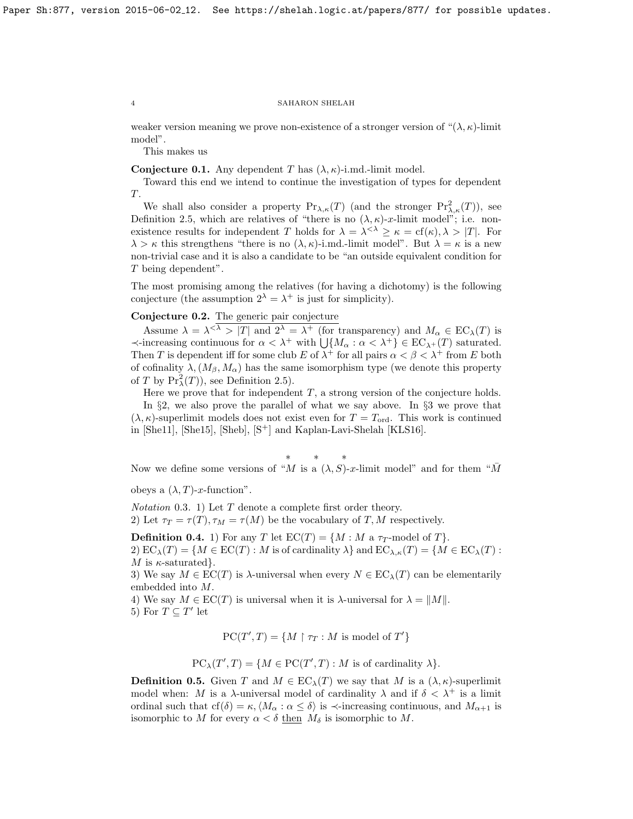weaker version meaning we prove non-existence of a stronger version of " $(\lambda, \kappa)$ -limit model".

This makes us

**Conjecture 0.1.** Any dependent T has  $(\lambda, \kappa)$ -i.md.-limit model.

Toward this end we intend to continue the investigation of types for dependent T.

We shall also consider a property  $Pr_{\lambda,\kappa}(T)$  (and the stronger  $Pr_{\lambda,\kappa}^2(T)$ ), see Definition [2.5,](#page-13-2) which are relatives of "there is no  $(\lambda, \kappa)$ -x-limit model"; i.e. nonexistence results for independent T holds for  $\lambda = \lambda^{<\lambda} \geq \kappa = \text{cf}(\kappa), \lambda > |T|$ . For  $\lambda > \kappa$  this strengthens "there is no  $(\lambda, \kappa)$ -i.md.-limit model". But  $\lambda = \kappa$  is a new non-trivial case and it is also a candidate to be "an outside equivalent condition for T being dependent".

The most promising among the relatives (for having a dichotomy) is the following conjecture (the assumption  $2^{\lambda} = \lambda^+$  is just for simplicity).

# Conjecture 0.2. The generic pair conjecture

Assume  $\lambda = \lambda^{<\lambda} > |T|$  and  $2^{\lambda} = \lambda^+$  (for transparency) and  $M_{\alpha} \in EC_{\lambda}(T)$  is  $\prec$ -increasing continuous for  $\alpha < \lambda^+$  with  $\bigcup \{M_\alpha : \alpha < \lambda^+\} \in EC_{\lambda^+}(T)$  saturated. Then T is dependent iff for some club E of  $\lambda^+$  for all pairs  $\alpha < \beta < \lambda^+$  from E both of cofinality  $\lambda$ ,  $(M_\beta, M_\alpha)$  has the same isomorphism type (we denote this property of T by  $Pr_{\lambda}^{2}(T)$ , see Definition [2.5\)](#page-13-2).

Here we prove that for independent  $T$ , a strong version of the conjecture holds. In §2, we also prove the parallel of what we say above. In §3 we prove that  $(\lambda, \kappa)$ -superlimit models does not exist even for  $T = T_{\text{ord}}$ . This work is continued in [\[She11\]](#page-27-8), [\[She15\]](#page-27-9), [\[Sheb\]](#page-27-10),  $[S^+]$  and Kaplan-Lavi-Shelah [\[KLS16\]](#page-26-4).

∗ ∗ ∗

Now we define some versions of "M is a  $(\lambda, S)$ -x-limit model" and for them " $\overline{M}$ 

obeys a  $(\lambda, T)$ -x-function".

Notation 0.3. 1) Let T denote a complete first order theory. 2) Let  $\tau_T = \tau(T), \tau_M = \tau(M)$  be the vocabulary of T, M respectively.

**Definition 0.4.** 1) For any T let  $EC(T) = \{M : M \text{ a } \tau_T\text{-model of } T\}.$ 2)  $EC_{\lambda}(T) = \{M \in EC(T) : M \text{ is of cardinality } \lambda\}$  and  $EC_{\lambda,\kappa}(T) = \{M \in EC_{\lambda}(T) : M \text{ is of cardinality } \lambda\}$ M is  $\kappa$ -saturated.

3) We say  $M \in \mathrm{EC}(T)$  is  $\lambda$ -universal when every  $N \in \mathrm{EC}_{\lambda}(T)$  can be elementarily embedded into M.

4) We say  $M \in \mathrm{EC}(T)$  is universal when it is  $\lambda$ -universal for  $\lambda = ||M||$ . 5) For  $T \subseteq T'$  let

$$
PC(T',T) = \{ M \restriction \tau_T : M \text{ is model of } T' \}
$$

$$
PC_{\lambda}(T',T) = \{ M \in PC(T',T) : M \text{ is of cardinality } \lambda \}.
$$

**Definition 0.5.** Given T and  $M \in EC_{\lambda}(T)$  we say that M is a  $(\lambda, \kappa)$ -superlimit model when: M is a  $\lambda$ -universal model of cardinality  $\lambda$  and if  $\delta < \lambda^+$  is a limit ordinal such that  $cf(\delta) = \kappa, \langle M_\alpha : \alpha \leq \delta \rangle$  is  $\prec$ -increasing continuous, and  $M_{\alpha+1}$  is isomorphic to M for every  $\alpha < \delta$  then  $M_{\delta}$  is isomorphic to M.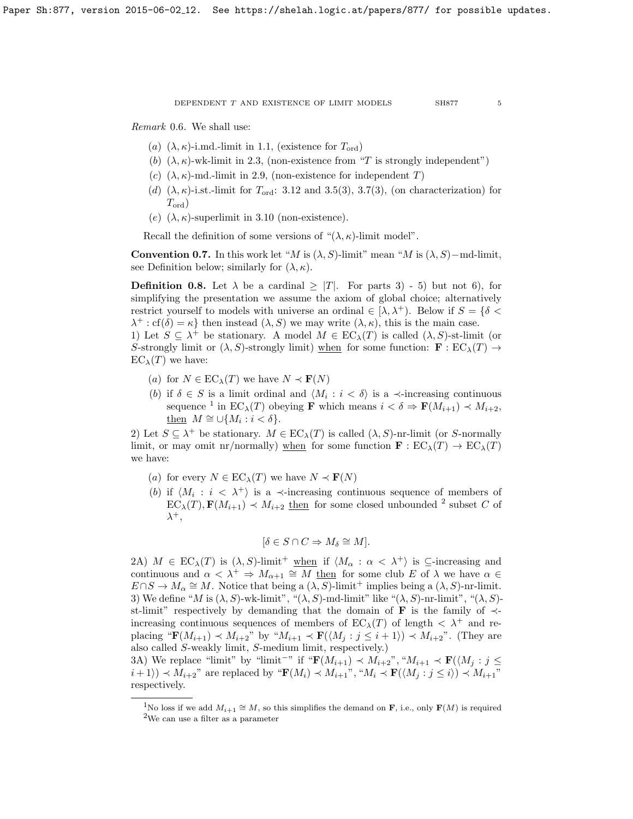DEPENDENT  $T$  AND EXISTENCE OF LIMIT MODELS  $$\sf SH877$$   $$\sf 5$$ 

Remark 0.6. We shall use:

- (a)  $(\lambda, \kappa)$ -i.md.-limit in [1.1,](#page-8-0) (existence for  $T_{\text{ord}}$ )
- (b)  $(\lambda, \kappa)$ -wk-limit in [2.3,](#page-13-0) (non-existence from "T is strongly independent")
- (c)  $(\lambda, \kappa)$ -md.-limit in [2.9,](#page-15-0) (non-existence for independent T)
- (d)  $(\lambda, \kappa)$ -i.st.-limit for  $T_{\text{ord}}$ : [3.12](#page-25-0) and [3.5\(](#page-22-0)3), [3.7\(](#page-23-0)3), (on characterization) for  $T_{\mathrm{ord}})$
- (e)  $(\lambda, \kappa)$ -superlimit in [3.10](#page-24-0) (non-existence).

Recall the definition of some versions of " $(\lambda, \kappa)$ -limit model".

Convention 0.7. In this work let "M is  $(\lambda, S)$ -limit" mean "M is  $(\lambda, S)$ -md-limit, see Definition below; similarly for  $(\lambda, \kappa)$ .

<span id="page-4-0"></span>**Definition 0.8.** Let  $\lambda$  be a cardinal  $\geq |T|$ . For parts 3) - 5) but not 6), for simplifying the presentation we assume the axiom of global choice; alternatively restrict yourself to models with universe an ordinal  $\in [\lambda, \lambda^+]$ . Below if  $S = \{ \delta <$  $\lambda^+$ : cf( $\delta$ ) =  $\kappa$ } then instead  $(\lambda, S)$  we may write  $(\lambda, \kappa)$ , this is the main case. 1) Let  $S \subseteq \lambda^+$  be stationary. A model  $M \in EC_{\lambda}(T)$  is called  $(\lambda, S)$ -st-limit (or

S-strongly limit or  $(\lambda, S)$ -strongly limit) when for some function:  $\mathbf{F} : EC_{\lambda}(T) \rightarrow$  $EC_{\lambda}(T)$  we have:

- (a) for  $N \in EC_{\lambda}(T)$  we have  $N \prec F(N)$
- (b) if  $\delta \in S$  is a limit ordinal and  $\langle M_i : i < \delta \rangle$  is a  $\prec$ -increasing continuous sequence <sup>[1](#page-4-1)</sup> in  $EC_{\lambda}(T)$  obeying **F** which means  $i < \delta \Rightarrow \mathbf{F}(M_{i+1}) < M_{i+2}$ , then  $M \cong \bigcup \{M_i : i < \delta\}.$

2) Let  $S \subseteq \lambda^+$  be stationary.  $M \in EC_{\lambda}(T)$  is called  $(\lambda, S)$ -nr-limit (or S-normally limit, or may omit nr/normally) when for some function  $\mathbf{F} : EC_{\lambda}(T) \to EC_{\lambda}(T)$ we have:

- (a) for every  $N \in EC_{\lambda}(T)$  we have  $N \prec F(N)$
- (b) if  $\langle M_i : i \langle \lambda^+ \rangle$  is a  $\prec$ -increasing continuous sequence of members of  $\mathsf{EC}_{\lambda}(T), \mathbf{F}(M_{i+1}) \prec M_{i+2}$  $\mathsf{EC}_{\lambda}(T), \mathbf{F}(M_{i+1}) \prec M_{i+2}$  $\mathsf{EC}_{\lambda}(T), \mathbf{F}(M_{i+1}) \prec M_{i+2}$  then for some closed unbounded <sup>2</sup> subset C of  $\lambda^+,$

$$
[\delta\in S\cap C \Rightarrow M_\delta\cong M].
$$

2A)  $M \in EC_{\lambda}(T)$  is  $(\lambda, S)$ -limit<sup>+</sup> when if  $\langle M_{\alpha} : \alpha < \lambda^+ \rangle$  is  $\subseteq$ -increasing and continuous and  $\alpha < \lambda^+$   $\Rightarrow$   $M_{\alpha+1} \cong M$  then for some club E of  $\lambda$  we have  $\alpha \in$  $E \cap S \to M_\alpha \cong M$ . Notice that being a  $(\overline{\lambda}, \overline{S})$ -limit<sup>+</sup> implies being a  $(\lambda, S)$ -nr-limit. 3) We define "M is  $(\lambda, S)$ -wk-limit", " $(\lambda, S)$ -md-limit" like " $(\lambda, S)$ -nr-limit", " $(\lambda, S)$ st-limit" respectively by demanding that the domain of **F** is the family of  $\prec$ increasing continuous sequences of members of  $EC_{\lambda}(T)$  of length  $\langle \lambda^+ \rangle$  and replacing " $\mathbf{F}(M_{i+1}) \prec M_{i+2}$ " by " $M_{i+1} \prec \mathbf{F}(\langle M_j : j \leq i+1 \rangle) \prec M_{i+2}$ ". (They are also called S-weakly limit, S-medium limit, respectively.)

3A) We replace "limit" by "limit<sup>--</sup>" if " $\mathbf{F}(M_{i+1}) \prec M_{i+2}$ ", " $M_{i+1} \prec \mathbf{F}(\langle M_j : j \leq j \rangle)$  $i + 1$ )  $\prec M_{i+2}$ " are replaced by " $\mathbf{F}(M_i) \prec M_{i+1}$ ", " $M_i \prec \mathbf{F}(\langle M_j : j \leq i \rangle) \prec M_{i+1}$ " respectively.

<span id="page-4-2"></span><span id="page-4-1"></span><sup>&</sup>lt;sup>1</sup>No loss if we add  $M_{i+1} \cong M$ , so this simplifies the demand on **F**, i.e., only **F**(M) is required <sup>2</sup>We can use a filter as a parameter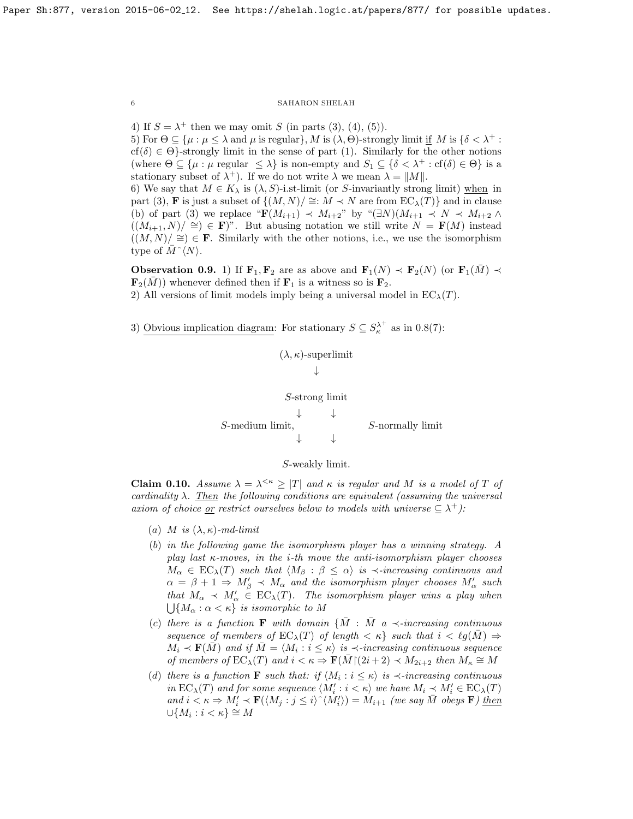4) If  $S = \lambda^+$  then we may omit S (in parts (3), (4), (5)).

5) For  $\Theta \subseteq {\mu : \mu \leq \lambda \text{ and } \mu \text{ is regular}}$ , M is  $(\lambda, \Theta)$ -strongly limit if M is  $\{\delta < \lambda^+ :$  $cf(\delta) \in \Theta$ }-strongly limit in the sense of part (1). Similarly for the other notions (where  $\Theta \subseteq {\{\mu : \mu \text{ regular } \leq \lambda\}}$  is non-empty and  $S_1 \subseteq {\{\delta < \lambda^+ : \text{cf}(\delta) \in \Theta\}}$  is a stationary subset of  $\lambda^+$ ). If we do not write  $\lambda$  we mean  $\lambda = ||M||$ .

6) We say that  $M \in K_{\lambda}$  is  $(\lambda, S)$ -i.st-limit (or S-invariantly strong limit) when in part (3), **F** is just a subset of  $\{(M, N)/ \cong : M \prec N \text{ are from } EC_{\lambda}(T)\}\)$  and in clause (b) of part (3) we replace " $\mathbf{F}(M_{i+1}) \prec M_{i+2}$ " by " $(\exists N)(M_{i+1} \prec N \prec M_{i+2} \land$  $((M_{i+1}, N)/ \cong) \in \mathbf{F})^n$ . But abusing notation we still write  $N = \mathbf{F}(M)$  instead  $((M, N)/ \cong) \in \mathbf{F}$ . Similarly with the other notions, i.e., we use the isomorphism type of  $\bar{M} \hat{\;} \langle N \rangle$ .

**Observation 0.9.** 1) If  $\mathbf{F}_1, \mathbf{F}_2$  are as above and  $\mathbf{F}_1(N) \prec \mathbf{F}_2(N)$  (or  $\mathbf{F}_1(M) \prec$  $\mathbf{F}_2(M)$ ) whenever defined then if  $\mathbf{F}_1$  is a witness so is  $\mathbf{F}_2$ . 2) All versions of limit models imply being a universal model in  $EC_{\lambda}(T)$ .

 $(\lambda, \kappa)$ -superlimit

3) Obvious implication diagram: For stationary  $S \subseteq S_{\kappa}^{\lambda^+}$  as in [0.8\(](#page-4-0)7):

↓ S-strong limit ↓ ↓ S-medium limit, S-normally limit ↓ ↓

S-weakly limit.

<span id="page-5-0"></span>**Claim 0.10.** Assume  $\lambda = \lambda^{<\kappa} \geq |T|$  and  $\kappa$  is regular and M is a model of T of cardinality  $\lambda$ . Then the following conditions are equivalent (assuming the universal axiom of choice <u>or</u> restrict ourselves below to models with universe  $\subseteq \lambda^+$ ):

- (a) M is  $(\lambda, \kappa)$ -md-limit
- (b) in the following game the isomorphism player has a winning strategy. A play last  $\kappa$ -moves, in the *i*-th move the anti-isomorphism player chooses  $M_{\alpha} \in EC_{\lambda}(T)$  such that  $\langle M_{\beta} : \beta \leq \alpha \rangle$  is  $\prec$ -increasing continuous and  $\alpha = \beta + 1 \Rightarrow M'_{\beta} \prec M_{\alpha}$  and the isomorphism player chooses  $M'_{\alpha}$  such that  $M_{\alpha} \prec M'_{\alpha} \in EC_{\lambda}(T)$ . The isomorphism player wins a play when  $\bigcup \{M_\alpha : \alpha < \kappa\}$  is isomorphic to M
- (c) there is a function **F** with domain  $\{M : M \mid a \prec$ -increasing continuous sequence of members of  $EC_{\lambda}(T)$  of length  $\langle \kappa \rangle$  such that  $i < \ell g(M) \Rightarrow$  $\tilde{M_i}\prec{\bf F}(\tilde{M})$  and if  $\tilde{M}=\langle \tilde{M_i}: i\leq \kappa\rangle$  is  $\prec$ -increasing continuous sequence of members of  $EC_{\lambda}(T)$  and  $i < \kappa \Rightarrow \mathbf{F}(\bar{M}) (2i+2) \prec M_{2i+2}$  then  $M_{\kappa} \cong M$
- (d) there is a function **F** such that: if  $\langle M_i : i \leq \kappa \rangle$  is  $\prec$ -increasing continuous in  $EC_{\lambda}(T)$  and for some sequence  $\langle M_i': i < \kappa \rangle$  we have  $M_i \leq M_i' \in EC_{\lambda}(T)$ and  $i \lt \kappa \Rightarrow M'_i \lt \mathbf{F}(\langle M_j : j \leq i \rangle \hat{\ } \langle M'_i \rangle) = M_{i+1}$  (we say  $\overline{M}$  obeys **F**) then  $\cup \{M_i : i < \kappa\} \stackrel{\cdot}{\cong} M$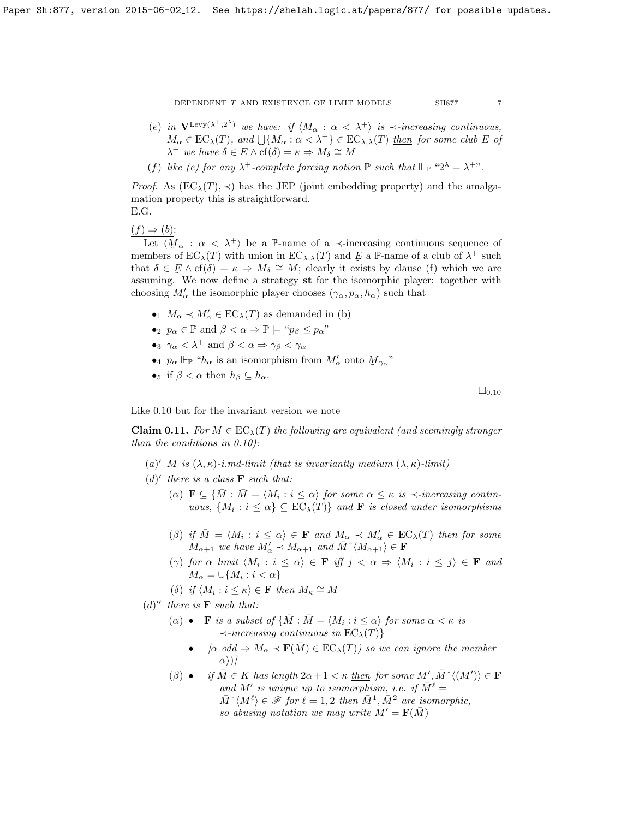- 
- (e) in  $\mathbf{V}^{\text{Levy}(\lambda^+,2^{\lambda})}$  we have: if  $\langle M_{\alpha} : \alpha < \lambda^+ \rangle$  is  $\prec$ -increasing continuous,  $M_{\alpha} \in EC_{\lambda}(T)$ , and  $\bigcup \{M_{\alpha} : \alpha < \lambda^{+}\}\in EC_{\lambda,\lambda}(T)$  then for some club E of  $\lambda^+$  we have  $\delta \in E \wedge cf(\delta) = \kappa \Rightarrow M_\delta \cong M$
- (f) like (e) for any  $\lambda^+$ -complete forcing notion  $\mathbb P$  such that  $\Vdash_{\mathbb P}$  " $2^{\lambda} = \lambda^{+}$ ".

*Proof.* As  $(EC_{\lambda}(T), \prec)$  has the JEP (joint embedding property) and the amalgamation property this is straightforward. E.G.

 $(f) \Rightarrow (b)$ :

Let  $\langle \underline{M}_{\alpha} : \alpha < \lambda^+ \rangle$  be a P-name of a  $\prec$ -increasing continuous sequence of members of  $EC_{\lambda}(T)$  with union in  $EC_{\lambda,\lambda}(T)$  and  $E$  a P-name of a club of  $\lambda^{+}$  such that  $\delta \in \mathcal{F} \wedge cf(\delta) = \kappa \Rightarrow M_{\delta} \cong M$ ; clearly it exists by clause (f) which we are  $\sum_{i=1}^{n}$  We now define a strategy st for the isomorphic player: together with choosing  $M'_\alpha$  the isomorphic player chooses  $(\gamma_\alpha, p_\alpha, h_\alpha)$  such that

- $\bullet_1$   $M_\alpha \prec M'_\alpha \in EC_\lambda(T)$  as demanded in (b)
- •<sub>2</sub>  $p_{\alpha} \in \mathbb{P}$  and  $\beta < \alpha \Rightarrow \mathbb{P} \models \text{``} p_{\beta} \leq p_{\alpha}$ "
- •<sub>3</sub>  $\gamma_{\alpha} < \lambda^{+}$  and  $\beta < \alpha \Rightarrow \gamma_{\beta} < \gamma_{\alpha}$
- •4  $p_{\alpha} \Vdash_{\mathbb{P}}$  " $h_{\alpha}$  is an isomorphism from  $M'_{\alpha}$  onto  $M_{\gamma_{\alpha}}$ "
- •<sub>5</sub> if  $\beta < \alpha$  then  $h_{\beta} \subseteq h_{\alpha}$ .

 $\square_{0.10}$  $\square_{0.10}$  $\square_{0.10}$ 

Like [0.10](#page-5-0) but for the invariant version we note

<span id="page-6-0"></span>**Claim 0.11.** For  $M \in EC_{\lambda}(T)$  the following are equivalent (and seemingly stronger than the conditions in [0.10\)](#page-5-0):

- (a)' M is  $(\lambda, \kappa)$ -i.md-limit (that is invariantly medium  $(\lambda, \kappa)$ -limit)
- (d)' there is a class  $\bf{F}$  such that:
	- (a)  $\mathbf{F} \subseteq {\overline{M} : \overline{M} = \langle M_i : i \leq \alpha \rangle \text{ for some } \alpha \leq \kappa \text{ is } \prec \text{-increasing contin-}$ uous,  $\{M_i : i \leq \alpha\} \subseteq EC_{\lambda}(T)\}\$  and **F** is closed under isomorphisms
	- ( $\beta$ ) if  $\overline{M} = \langle M_i : i \leq \alpha \rangle \in \mathbf{F}$  and  $M_{\alpha} \prec M'_{\alpha} \in EC_{\lambda}(T)$  then for some  $M_{\alpha+1}$  we have  $M'_\alpha \prec M_{\alpha+1}$  and  $\overline{M}^{\wedge} \langle M_{\alpha+1} \rangle \in \mathbf{F}$
	- $(\gamma)$  for  $\alpha$  limit  $\langle M_i : i \leq \alpha \rangle \in \mathbf{F}$  iff  $j < \alpha \Rightarrow \langle M_i : i \leq j \rangle \in \mathbf{F}$  and  $M_{\alpha} = \bigcup \{M_i : i < \alpha\}$
	- (δ) if  $\langle M_i : i \leq \kappa \rangle \in \mathbf{F}$  then  $M_{\kappa} \cong M$
- $(d)''$  there is **F** such that:
	- ( $\alpha$ ) **F** is a subset of  $\{ \overline{M} : \overline{M} = \langle M_i : i \leq \alpha \rangle \}$  for some  $\alpha < \kappa$  is  $\prec$ -increasing continuous in  $EC_{\lambda}(T)$ }
		- $\alpha$  odd  $\Rightarrow$   $M_{\alpha} \prec$   $\mathbf{F}(\overline{M}) \in EC_{\lambda}(T)$  so we can ignore the member  $\alpha\rangle$ )
	- $(\beta)$  if  $\overline{M} \in K$  has length  $2\alpha + 1 < \kappa$  then for some  $M', \overline{M}^{\wedge} \langle (M') \rangle \in \mathbf{F}$ and M' is unique up to isomorphism, i.e. if  $\overline{M}^{\ell} =$  $\bar{M}^{\wedge}\langle M^{\ell}\rangle \in \mathscr{F}$  for  $\ell = 1, 2$  then  $\bar{M}^1, \bar{M}^2$  are isomorphic, so abusing notation we may write  $M' = \mathbf{F}(\overline{M})$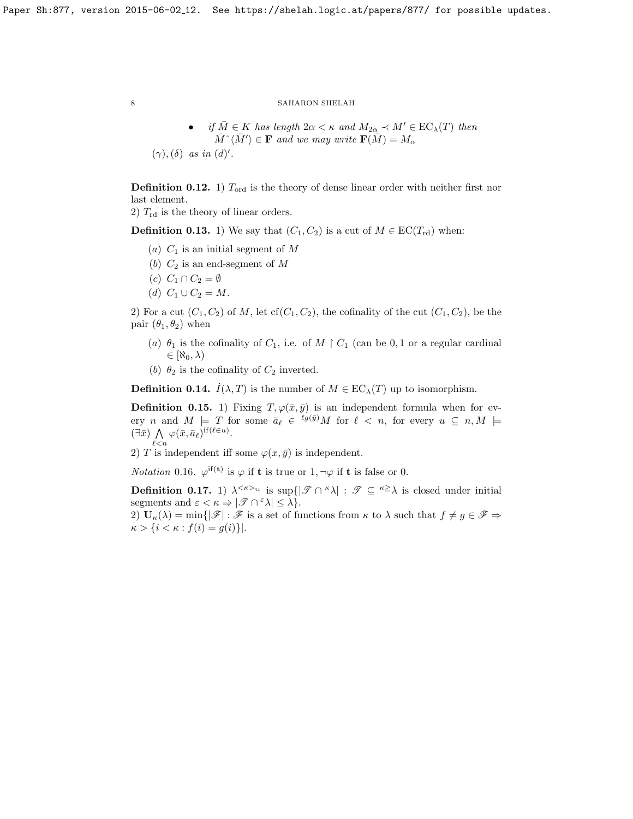• if  $\overline{M} \in K$  has length  $2\alpha < \kappa$  and  $M_{2\alpha} \prec M' \in EC_{\lambda}(T)$  then  $\bar{M} \hat{\;} \langle \bar{M}' \rangle \in \mathbf{F}$  and we may write  $\mathbf{F}(\bar{M}) = M_{\alpha}$ 

 $(\gamma),(\delta)$  as in  $(d)$ '.

<span id="page-7-0"></span>**Definition 0.12.** 1)  $T_{\text{ord}}$  is the theory of dense linear order with neither first nor last element.

2)  $T_{\rm rd}$  is the theory of linear orders.

<span id="page-7-1"></span>**Definition 0.13.** 1) We say that  $(C_1, C_2)$  is a cut of  $M \in EC(T_{rd})$  when:

- (a)  $C_1$  is an initial segment of M
- (b)  $C_2$  is an end-segment of M
- (c)  $C_1 \cap C_2 = \emptyset$
- (d)  $C_1 \cup C_2 = M$ .

2) For a cut  $(C_1, C_2)$  of M, let  $cf(C_1, C_2)$ , the cofinality of the cut  $(C_1, C_2)$ , be the pair  $(\theta_1, \theta_2)$  when

- (a)  $\theta_1$  is the cofinality of  $C_1$ , i.e. of  $M \upharpoonright C_1$  (can be 0, 1 or a regular cardinal  $\in$   $\mathcal{R}_0, \lambda$
- (b)  $\theta_2$  is the cofinality of  $C_2$  inverted.

<span id="page-7-2"></span>**Definition 0.14.**  $I(\lambda, T)$  is the number of  $M \in EC_{\lambda}(T)$  up to isomorphism.

**Definition 0.15.** 1) Fixing  $T, \varphi(\bar{x}, \bar{y})$  is an independent formula when for every n and  $M \models T$  for some  $\bar{a}_{\ell} \in {}^{\ell g(\bar{y})}M$  for  $\ell < n$ , for every  $u \subseteq n, M \models T$  $(\exists \bar{x}) \land \varphi(\bar{x}, \bar{a}_{\ell})^{\text{if}(\ell \in u)}.$  $\ell$  < n

2) T is independent iff some  $\varphi(x,\bar{y})$  is independent.

*Notation* 0.16.  $\varphi^{if(t)}$  is  $\varphi$  if **t** is true or 1,  $\neg \varphi$  if **t** is false or 0.

<span id="page-7-3"></span>**Definition 0.17.** 1)  $\lambda^{<\kappa\rangle_{\text{tr}}}$  is sup $\{|\mathscr{T} \cap \kappa \lambda| : \mathscr{T} \subseteq \kappa^{\geq} \lambda \text{ is closed under initial}\}$ segments and  $\varepsilon < \kappa \Rightarrow |\mathcal{F} \cap \mathcal{F} \lambda| \leq \lambda$ .

2)  $U_{\kappa}(\lambda) = \min\{|\mathscr{F}| : \mathscr{F}$  is a set of functions from  $\kappa$  to  $\lambda$  such that  $f \neq g \in \mathscr{F} \Rightarrow$  $\kappa > \{i < \kappa : f(i) = g(i)\}.$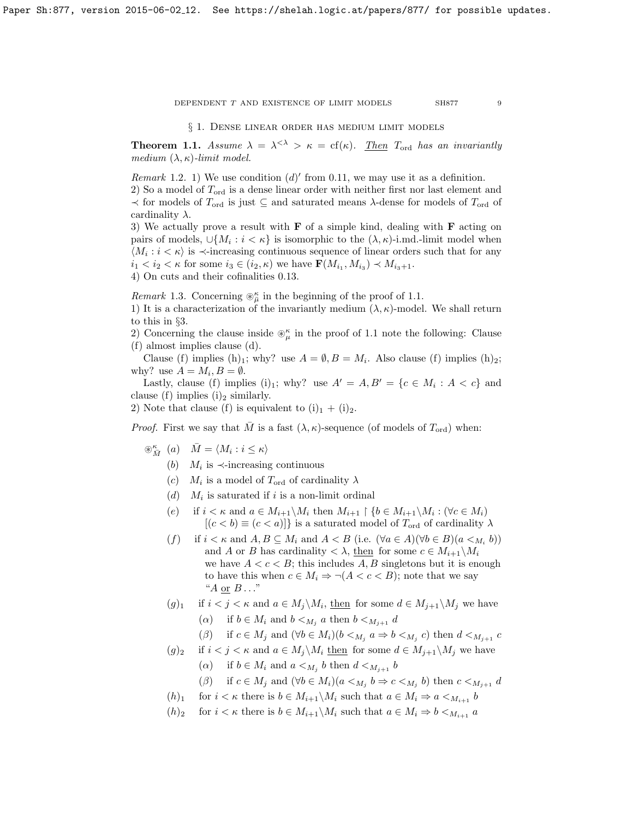§ 1. Dense linear order has medium limit models

<span id="page-8-0"></span>**Theorem 1.1.** Assume  $\lambda = \lambda^{<\lambda} > \kappa = \text{cf}(\kappa)$ . Then  $T_{\text{ord}}$  has an invariantly medium  $(\lambda, \kappa)$ -limit model.

Remark 1.2. 1) We use condition  $(d)'$  from [0.11,](#page-6-0) we may use it as a definition.

2) So a model of  $T_{\text{ord}}$  is a dense linear order with neither first nor last element and  $\prec$  for models of  $T_{\text{ord}}$  is just  $\subseteq$  and saturated means  $\lambda$ -dense for models of  $T_{\text{ord}}$  of cardinality  $\lambda$ .

3) We actually prove a result with  $\bf{F}$  of a simple kind, dealing with  $\bf{F}$  acting on pairs of models,  $\cup \{M_i : i < \kappa\}$  is isomorphic to the  $(\lambda, \kappa)$ -i.md.-limit model when  $\langle M_i : i < \kappa \rangle$  is  $\prec$ -increasing continuous sequence of linear orders such that for any  $i_1 < i_2 < \kappa$  for some  $i_3 \in (i_2, \kappa)$  we have  $\mathbf{F}(M_{i_1}, M_{i_3}) \prec M_{i_3+1}$ .

4) On cuts and their cofinalities [0.13.](#page-7-1)

*Remark* 1.3. Concerning  $\mathcal{D}_{\overline{\mu}}^{\kappa}$  in the beginning of the proof of [1.1.](#page-8-0)

1) It is a characterization of the invariantly medium  $(\lambda, \kappa)$ -model. We shall return to this in §3.

2) Concerning the clause inside  $\mathcal{L}_{\mu}^{\kappa}$  in the proof of [1.1](#page-8-0) note the following: Clause (f) almost implies clause (d).

Clause (f) implies (h)<sub>1</sub>; why? use  $A = \emptyset$ ,  $B = M_i$ . Also clause (f) implies (h)<sub>2</sub>; why? use  $A = M_i, B = \emptyset$ .

Lastly, clause (f) implies (i)<sub>1</sub>; why? use  $A' = A, B' = \{c \in M_i : A < c\}$  and clause (f) implies (i)<sub>2</sub> similarly.

2) Note that clause (f) is equivalent to  $(i)_1 + (i)_2$ .

*Proof.* First we say that  $\overline{M}$  is a fast  $(\lambda, \kappa)$ -sequence (of models of  $T_{\text{ord}}$ ) when:

- $\circledast^{\kappa}_{\bar{M}}(a) \quad \bar{M} = \langle M_i : i \leq \kappa \rangle$ 
	- (b)  $M_i$  is  $\prec$ -increasing continuous
	- (c)  $M_i$  is a model of  $T_{ord}$  of cardinality  $\lambda$
	- $(d)$   $M_i$  is saturated if i is a non-limit ordinal
	- (e) if  $i < \kappa$  and  $a \in M_{i+1} \backslash M_i$  then  $M_{i+1} \upharpoonright \{b \in M_{i+1} \backslash M_i : (\forall c \in M_i) \}$  $[(c < b) \equiv (c < a)]$  is a saturated model of  $T_{\text{ord}}$  of cardinality  $\lambda$
	- (f) if  $i < \kappa$  and  $A, B \subseteq M_i$  and  $A < B$  (i.e.  $(\forall a \in A)(\forall b \in B)(a <_{M_i} b)$ ) and A or B has cardinality  $\langle \lambda, \underline{\text{then}} \rangle$  for some  $c \in M_{i+1} \backslash M_i$ we have  $A < c < B$ ; this includes A, B singletons but it is enough to have this when  $c \in M_i \Rightarrow \neg (A < c < B)$ ; note that we say " $A$  or  $B \dots$ "
	- $(g)_1$  if  $i < j < \kappa$  and  $a \in M_j \backslash M_i$ , then for some  $d \in M_{j+1} \backslash M_j$  we have ( $\alpha$ ) if  $b \in M_i$  and  $b \lt_{M_i} a$  then  $b \lt_{M_{i+1}} d$ 
		-
		- (β) if  $c \in M_j$  and  $(\forall b \in M_i)(b \lt_{M_j} a \Rightarrow b \lt_{M_j} c)$  then  $d \lt_{M_{j+1}} c$

$$
(g)_2
$$
 if  $i < j < \kappa$  and  $a \in M_j \backslash M_i$  then for some  $d \in M_{j+1} \backslash M_j$  we have

( $\alpha$ ) if  $b \in M_i$  and  $a \lt_{M_j} b$  then  $d \lt_{M_{j+1}} b$ 

$$
(\beta) \quad \text{if } c \in M_j \text{ and } (\forall b \in M_i)(a <_{M_j} b \Rightarrow c <_{M_j} b) \text{ then } c <_{M_{j+1}} d
$$

- $(h)_1$  for  $i < \kappa$  there is  $b \in M_{i+1} \backslash M_i$  such that  $a \in M_i \Rightarrow a <_{M_{i+1}} b$
- $(h)_2$  for  $i < \kappa$  there is  $b \in M_{i+1} \backslash M_i$  such that  $a \in M_i \Rightarrow b <_{M_{i+1}} a$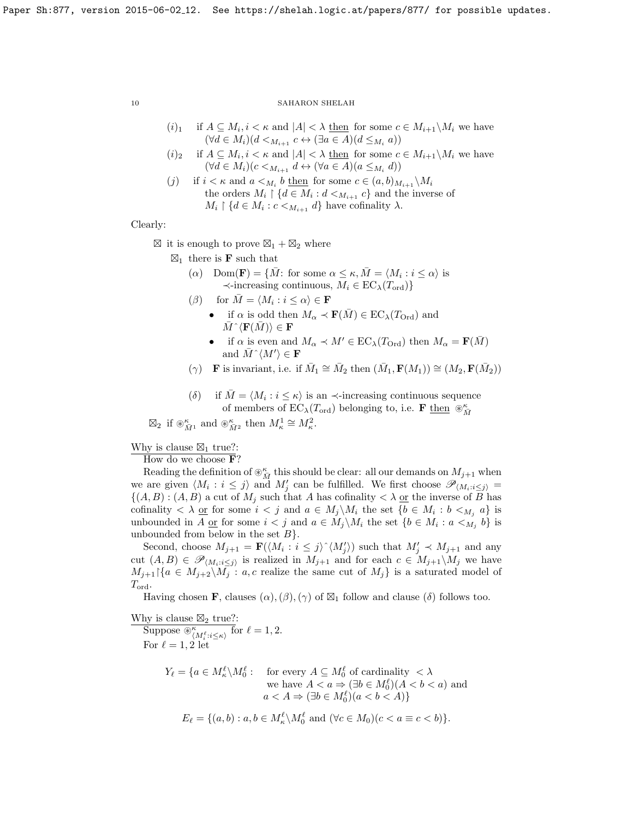- $(i)_1$  if  $A \subseteq M_i, i < \kappa$  and  $|A| < \lambda$  then for some  $c \in M_{i+1} \backslash M_i$  we have  $(\forall d \in M_i)(d \leq_{M_{i+1}} c \leftrightarrow (\exists a \in A)(d \leq_{M_i} a))$
- $(i)_2$  if  $A \subseteq M_i, i < \kappa$  and  $|A| < \lambda$  then for some  $c \in M_{i+1} \backslash M_i$  we have  $(\forall d \in M_i)(c <_{M_{i+1}} d \leftrightarrow (\forall a \in A)(a \leq_{M_i} d))$
- (*j*) if  $i < \kappa$  and  $a <_{M_i} b$  then for some  $c \in (a, b)_{M_{i+1}} \backslash M_i$ the orders  $M_i \restriction \{d \in M_i : d \lt_{M_{i+1}} c\}$  and the inverse of  $M_i \restriction \{d \in M_i : c \lt_{M_{i+1}} d\}$  have cofinality  $\lambda$ .

Clearly:

 $\boxtimes$  it is enough to prove  $\boxtimes_1 + \boxtimes_2$  where

- $\boxtimes_1$  there is **F** such that
	- ( $\alpha$ ) Dom(**F**) = { $\overline{M}$ : for some  $\alpha \leq \kappa$ ,  $\overline{M} = \langle M_i : i \leq \alpha \rangle$  is  $\prec$ -increasing continuous,  $M_i \in EC_{\lambda}(T_{\text{ord}})$
	- ( $\beta$ ) for  $\overline{M} = \langle M_i : i \leq \alpha \rangle \in \mathbf{F}$ 
		- if  $\alpha$  is odd then  $M_{\alpha} \prec \mathbf{F}(M) \in EC_{\lambda}(T_{\text{Ord}})$  and  $M \hat{\;} \langle \mathbf{F}(M) \rangle \in \mathbf{F}$
		- if  $\alpha$  is even and  $M_{\alpha} \prec M' \in EC_{\lambda}(T_{\text{Ord}})$  then  $M_{\alpha} = \mathbf{F}(\bar{M})$ and  $\overline{M}^{\wedge}\langle M' \rangle \in \mathbf{F}$
	- ( $\gamma$ ) **F** is invariant, i.e. if  $\overline{M}_1 \cong \overline{M}_2$  then  $(\overline{M}_1, \mathbf{F}(M_1)) \cong (M_2, \mathbf{F}(\overline{M}_2))$
	- (δ) if  $\overline{M} = \langle M_i : i \leq \kappa \rangle$  is an  $\prec$ -increasing continuous sequence of members of  $\text{EC}_{\lambda}(T_{\text{ord}})$  belonging to, i.e. **F** then  $\circledast_{\tilde{M}}^{\kappa}$

 $\boxtimes_2$  if  $\circledast_{\overline{M}^1}^{\kappa}$  and  $\circledast_{\overline{M}^2}^{\kappa}$  then  $M^1_{\kappa} \cong M^2_{\kappa}$ .

Why is clause  $\boxtimes_1$  true?:

How do we choose F?

Reading the definition of  $\otimes^{\kappa}_{\bar{M}}$  this should be clear: all our demands on  $M_{j+1}$  when we are given  $\langle M_i : i \leq j \rangle$  and  $M'_j$  can be fulfilled. We first choose  $\mathscr{P}_{\langle M_i : i \leq j \rangle}$  =  $\{(A, B) : (A, B)$  a cut of  $M_j$  such that A has cofinality  $\langle \lambda \rangle$  or the inverse of B has cofinality  $\langle \lambda \underline{\text{ or }}$  for some  $i < j$  and  $a \in M_j \backslash M_i$  the set  $\{b \in M_i : b <_{M_j} a\}$  is unbounded in A <u>or</u> for some  $i < j$  and  $a \in M_j \backslash M_i$  the set  $\{b \in M_i : a <_{M_j} b\}$  is unbounded from below in the set  $B$ .

Second, choose  $M_{j+1} = \mathbf{F}(\langle M_i : i \leq j \rangle^{\wedge} \langle M'_j \rangle)$  such that  $M'_j \prec M_{j+1}$  and any cut  $(A, B) \in \mathscr{P}_{(M_i : i \leq j)}$  is realized in  $M_{j+1}$  and for each  $c \in M_{j+1} \backslash M_j$  we have  $M_{j+1}$ |{ $a \in M_{j+2} \backslash M_j : a, c$  realize the same cut of  $M_j$ } is a saturated model of  $T_{\text{ord}}$ .

Having chosen **F**, clauses  $(\alpha)$ ,  $(\beta)$ ,  $(\gamma)$  of  $\boxtimes_1$  follow and clause  $(\delta)$  follows too.

Why is clause  $\boxtimes_2$  true?:

Suppose  $\bigotimes_{\langle M_i^{\ell}:i\leq\kappa\rangle}^{\kappa}$  for  $\ell=1,2$ . For  $\ell = 1, 2$  let

$$
Y_{\ell} = \{ a \in M_{\kappa}^{\ell} \setminus M_0^{\ell} : \text{ for every } A \subseteq M_0^{\ell} \text{ of cardinality } < \lambda \text{ we have } A < a \Rightarrow (\exists b \in M_0^{\ell}) (A < b < a) \text{ and } a < A \Rightarrow (\exists b \in M_0^{\ell}) (a < b < A) \}
$$

$$
E_{\ell} = \{(a, b) : a, b \in M_{\kappa}^{\ell} \setminus M_0^{\ell} \text{ and } (\forall c \in M_0)(c < a \equiv c < b)\}.
$$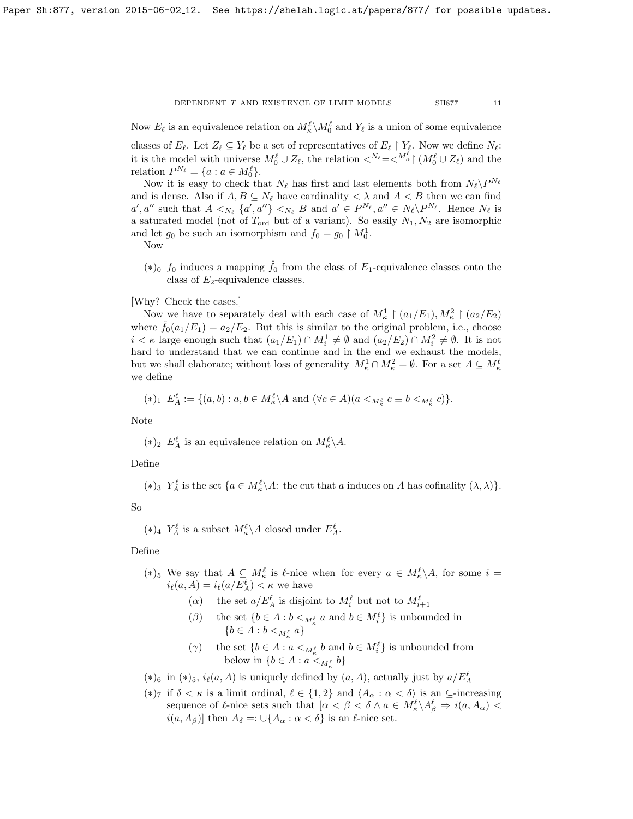Now  $E_\ell$  is an equivalence relation on  $M^\ell_\kappa \backslash M^\ell_0$  and  $Y_\ell$  is a union of some equivalence

classes of  $E_\ell$ . Let  $Z_\ell \subseteq Y_\ell$  be a set of representatives of  $E_\ell \upharpoonright Y_\ell$ . Now we define  $N_\ell$ : it is the model with universe  $M_0^{\ell} \cup Z_{\ell}$ , the relation  $\langle N_{\ell} = \langle M_{\kappa}^{\ell} \rangle \left( M_0^{\ell} \cup Z_{\ell} \right)$  and the relation  $P^{N_{\ell}} = \{a : a \in M_0^{\ell}\}.$ 

Now it is easy to check that  $N_\ell$  has first and last elements both from  $N_\ell \backslash P^{N_\ell}$ and is dense. Also if  $A, B \subseteq N_\ell$  have cardinality  $\langle \lambda \rangle$  and  $A \langle B \rangle$  then we can find  $a', a''$  such that  $A <_{N_{\ell}} \{a', a''\} <_{N_{\ell}} B$  and  $a' \in P^{N_{\ell}}, a'' \in N_{\ell} \backslash P^{N_{\ell}}$ . Hence  $N_{\ell}$  is a saturated model (not of  $T_{\text{ord}}$  but of a variant). So easily  $N_1, N_2$  are isomorphic and let  $g_0$  be such an isomorphism and  $f_0 = g_0 \restriction M_0^1$ .

Now

 $(*)_0$  f<sub>0</sub> induces a mapping  $\hat{f}_0$  from the class of  $E_1$ -equivalence classes onto the class of  $E_2$ -equivalence classes.

# [Why? Check the cases.]

Now we have to separately deal with each case of  $M_{\kappa}^1 \restriction (a_1/E_1), M_{\kappa}^2 \restriction (a_2/E_2)$ where  $\hat{f}_0(a_1/E_1) = a_2/E_2$ . But this is similar to the original problem, i.e., choose  $i < \kappa$  large enough such that  $(a_1/E_1) \cap M_i^1 \neq \emptyset$  and  $(a_2/E_2) \cap M_i^2 \neq \emptyset$ . It is not hard to understand that we can continue and in the end we exhaust the models, but we shall elaborate; without loss of generality  $M_{\kappa}^1 \cap M_{\kappa}^2 = \emptyset$ . For a set  $A \subseteq M_{\kappa}^{\ell}$ we define

$$
(*)_1 E_A^{\ell} := \{ (a, b) : a, b \in M_{\kappa}^{\ell} \setminus A \text{ and } (\forall c \in A)(a <_{M_{\kappa}^{\ell}} c \equiv b <_{M_{\kappa}^{\ell}} c ) \}.
$$

Note

(\*)<sub>2</sub>  $E_A^{\ell}$  is an equivalence relation on  $M_{\kappa}^{\ell} \backslash A$ .

# Define

(\*)<sub>3</sub>  $Y_A^{\ell}$  is the set  $\{a \in M_{\kappa}^{\ell} \setminus A: \text{ the cut that } a \text{ induces on } A \text{ has cofinality } (\lambda, \lambda)\}.$ 

# So

 $(*)_4$   $Y_A^{\ell}$  is a subset  $M_{\kappa}^{\ell} \backslash A$  closed under  $E_A^{\ell}$ .

# Define

- (\*)<sub>5</sub> We say that  $A \subseteq M^{\ell}_{\kappa}$  is  $\ell$ -nice <u>when</u> for every  $a \in M^{\ell}_{\kappa} \backslash A$ , for some  $i =$  $i_{\ell}(a, A) = i_{\ell}(a/E_A^{\ell}) < \kappa$  we have
	- ( $\alpha$ ) the set  $a/E_A^{\ell}$  is disjoint to  $M_i^{\ell}$  but not to  $M_{i+1}^{\ell}$
	- ( $\beta$ ) the set  $\{b \in A : b \lt_{M^{\ell}_\kappa} a \text{ and } b \in M^{\ell}_i\}$  is unbounded in  $\{b\in A:b<_{{\cal M}^{\ell}_\kappa}a\}$
	- ( $\gamma$ ) the set  $\{b \in A : a \lt_{M_\kappa^{\ell}} b \text{ and } b \in M_i^{\ell}\}\$  is unbounded from below in  $\{b \in A : a \lt_{M_\kappa^{\ell}} b\}$
- $(*)_6$  in  $(*)_5$ ,  $i_{\ell}(a, A)$  is uniquely defined by  $(a, A)$ , actually just by  $a/E_A^{\ell}$
- (\*)<sub>7</sub> if  $\delta < \kappa$  is a limit ordinal,  $\ell \in \{1, 2\}$  and  $\langle A_\alpha : \alpha < \delta \rangle$  is an  $\subseteq$ -increasing sequence of  $\ell$ -nice sets such that  $[\alpha < \beta < \delta \wedge a \in M^{\ell}_{\kappa} \setminus A^{\ell}_{\beta} \Rightarrow i(a, A_{\alpha})$  $i(a, A_{\beta})$ ] then  $A_{\delta} =: \bigcup \{A_{\alpha} : \alpha < \delta\}$  is an  $\ell$ -nice set.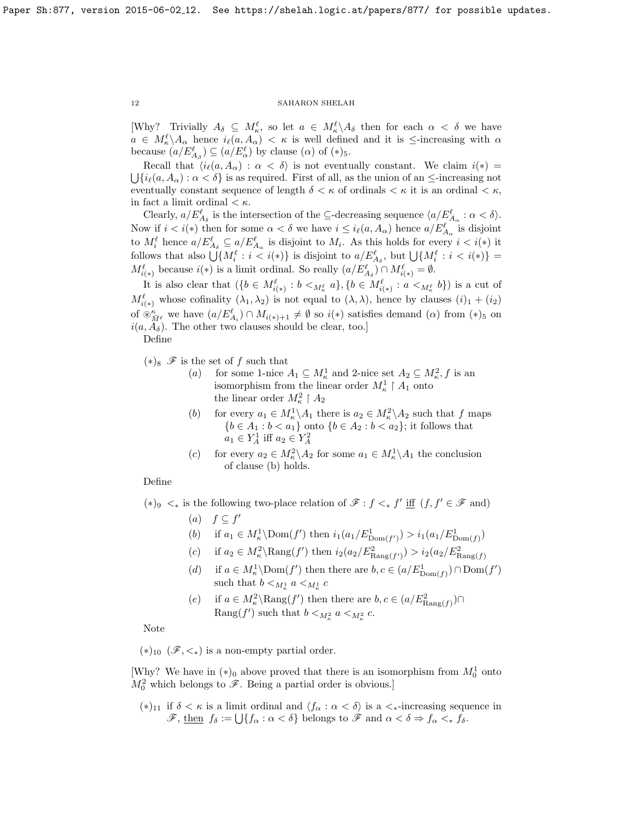[Why? Trivially  $A_{\delta} \subseteq M^{\ell}_{\kappa}$ , so let  $a \in M^{\ell}_{\kappa} \backslash A_{\delta}$  then for each  $\alpha < \delta$  we have  $a \in M_{\kappa}^{\ell} \backslash A_{\alpha}$  hence  $i_{\ell}(a, A_{\alpha}) < \kappa$  is well defined and it is  $\leq$ -increasing with  $\alpha$ because  $(a/E_{A_{\beta}}^{\ell}) \subseteq (a/E_{\alpha}^{\ell})$  by clause  $(\alpha)$  of  $(*)_5$ .

Recall that  $\langle i_{\ell}(a, A_{\alpha}) : \alpha < \delta \rangle$  is not eventually constant. We claim  $i(*) =$  $\bigcup \{i_{\ell}(a, A_{\alpha}) : \alpha < \delta\}$  is as required. First of all, as the union of an  $\leq$ -increasing not eventually constant sequence of length  $\delta < \kappa$  of ordinals  $< \kappa$ , it is an ordinal  $< \kappa$ , in fact a limit ordinal  $\lt \kappa$ .

Clearly,  $a/E_{A_{\delta}}^{\ell}$  is the intersection of the  $\subseteq$ -decreasing sequence  $\langle a/E_{A_{\alpha}}^{\ell} : \alpha < \delta \rangle$ . Now if  $i < i(*)$  then for some  $\alpha < \delta$  we have  $i \leq i_{\ell}(a, A_{\alpha})$  hence  $a/E_{A_{\alpha}}^{\ell}$  is disjoint to  $M_i^{\ell}$  hence  $a/E_{A_{\delta}}^{\ell} \subseteq a/E_{A_{\alpha}}^{\ell}$  is disjoint to  $M_i$ . As this holds for every  $i < i(*)$  it follows that also  $\bigcup \{M_i^{\ell} : i < i(*)\}$  is disjoint to  $a/E_{A_{\delta}}^{\ell}$ , but  $\bigcup \{M_i^{\ell} : i < i(*)\}$  =  $M^{\ell}_{i(*)}$  because  $i(*)$  is a limit ordinal. So really  $(a/E^{\ell}_{A_{\delta}}) \cap M^{\ell}_{i(*)} = \emptyset$ .

It is also clear that  $(\{b \in M_{i(*)}^{\ell} : b <_{M_{\kappa}^{\ell}} a\}, \{b \in M_{i(*)}^{\ell} : a <_{M_{\kappa}^{\ell}} b\})$  is a cut of  $M^{\ell}_{i(*)}$  whose cofinality  $(\lambda_1, \lambda_2)$  is not equal to  $(\lambda, \lambda)$ , hence by clauses  $(i)_1 + (i_2)$ of  $\mathfrak{F}_{\bar{M}^{\ell}}^{\kappa}$  we have  $(a/E_{A_i}^{\ell}) \cap M_{i(*)+1} \neq \emptyset$  so  $i(*)$  satisfies demand  $(\alpha)$  from  $(*)_5$  on  $i(a, A<sub>δ</sub>)$ . The other two clauses should be clear, too.]

Define

 $(*)_8$   $\mathcal F$  is the set of f such that

- (a) for some 1-nice  $A_1 \subseteq M_\kappa^1$  and 2-nice set  $A_2 \subseteq M_\kappa^2$ , f is an isomorphism from the linear order  $M_{\kappa}^1 \upharpoonright A_1$  onto the linear order  $M_{\kappa}^2 \restriction A_2$
- (b) for every  $a_1 \in M_\kappa^1 \backslash A_1$  there is  $a_2 \in M_\kappa^2 \backslash A_2$  such that f maps  ${b \in A_1 : b < a_1}$  onto  ${b \in A_2 : b < a_2}$ ; it follows that  $a_1 \in Y_A^1$  iff  $a_2 \in Y_A^2$
- (c) for every  $a_2 \in M_\kappa^2 \backslash A_2$  for some  $a_1 \in M_\kappa^1 \backslash A_1$  the conclusion of clause (b) holds.

# Define

(\*)<sup>9</sup>  $\lt$ <sup>\*</sup> is the following two-place relation of  $\mathscr{F}$  :  $f \lt$ <sup>\*</sup> iff (f, f' ∈  $\mathscr{F}$  and)

- (a)  $f \subseteq f'$
- (b) if  $a_1 \in M^1_{\kappa} \setminus \text{Dom}(f')$  then  $i_1(a_1/E_{\text{Dom}(f')}^1) > i_1(a_1/E_{\text{Dom}(f')}^1)$
- (c) if  $a_2 \in M_\kappa^2 \backslash \text{Rang}(f')$  then  $i_2(a_2/E_{\text{Rang}(f')}^2) > i_2(a_2/E_{\text{Rang}(f')}^2)$
- (d) if  $a \in M^1_\kappa \setminus \text{Dom}(f')$  then there are  $b, c \in (a/E_{\text{Dom}(f)}^1) \cap \text{Dom}(f')$ such that  $b <_{M^1_{\kappa}} a <_{M^1_{\kappa}} c$
- (e) if  $a \in M_\kappa^2 \setminus \text{Rang}(f')$  then there are  $b, c \in (a/E_{\text{Rang}(f)}^2) \cap$ Rang $(f')$  such that  $b <_{M^2_{\kappa}} a <_{M^2_{\kappa}} c$ .

Note

 $(*)$ <sub>10</sub> ( $\mathcal{F}, <_*$ ) is a non-empty partial order.

[Why? We have in  $(*)_0$  above proved that there is an isomorphism from  $M_0^1$  onto  $M_0^2$  which belongs to  $\mathscr{F}$ . Being a partial order is obvious.]

(\*)<sub>11</sub> if  $\delta < \kappa$  is a limit ordinal and  $\langle f_{\alpha} : \alpha < \delta \rangle$  is a  $\lt_{\ast}$ -increasing sequence in  $\mathscr{F}, \underline{\text{then }} f_{\delta} := \bigcup \{ f_{\alpha} : \alpha < \delta \} \underline{\text{ belongs to }} \mathscr{F} \text{ and } \alpha < \delta \Rightarrow f_{\alpha} <_{*} f_{\delta}.$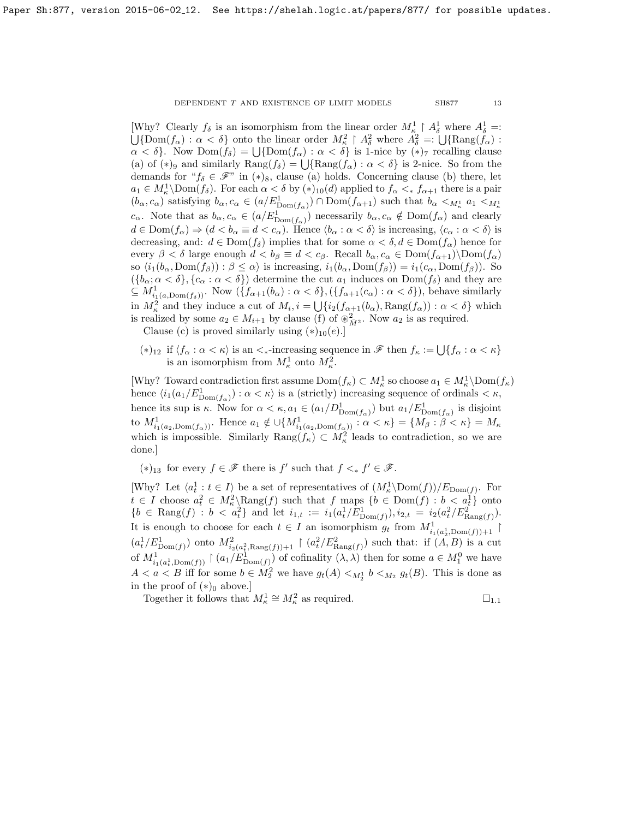[Why? Clearly  $f_{\delta}$  is an isomorphism from the linear order  $M_{\kappa}^1 \upharpoonright A_{\delta}^1$  where  $A_{\delta}^1$ [Why? Clearly  $f_{\delta}$  is an isomorphism from the linear order  $M_{\kappa}^1 \upharpoonright A_{\delta}^1$  where  $A_{\delta}^1 =: \bigcup{\text{Dom}(f_{\alpha}) : \alpha < \delta}$  onto the linear order  $M_{\kappa}^2 \upharpoonright A_{\delta}^2$  where  $A_{\delta}^2 =: \bigcup{\text{Rang}(f_{\alpha}) : \alpha < \delta}$  $\alpha < \delta$ . Now  $Dom(f_{\delta}) = \bigcup \{Dom(f_{\alpha}) : \alpha < \delta\}$  is 1-nice by  $(*)$  recalling clause (a) of  $(*)_9$  and similarly  $\text{Rang}(f_\delta) = \bigcup \{\text{Rang}(f_\alpha) : \alpha < \delta\}$  is 2-nice. So from the demands for " $f_{\delta} \in \mathcal{F}$ " in  $(*)_8$ , clause (a) holds. Concerning clause (b) there, let  $a_1 \in M_\kappa^1\backslash \text{Dom}(f_\delta)$ . For each  $\alpha < \delta$  by  $(*)_{10}(d)$  applied to  $f_\alpha <_* f_{\alpha+1}$  there is a pair  $(b_{\alpha}, c_{\alpha})$  satisfying  $b_{\alpha}, c_{\alpha} \in (a/E_{\text{Dom}(f_{\alpha})}^1) \cap \text{Dom}(f_{\alpha+1})$  such that  $b_{\alpha} <_{M_{\kappa}^1} a_1 <_{M_{\kappa}^1} a_1$  $c_{\alpha}$ . Note that as  $b_{\alpha}, c_{\alpha} \in (a/E_{\text{Dom}(f_{\alpha})}^1)$  necessarily  $b_{\alpha}, c_{\alpha} \notin \text{Dom}(f_{\alpha})$  and clearly  $d \in \text{Dom}(f_\alpha) \Rightarrow (d < b_\alpha \equiv d < c_\alpha)$ . Hence  $\langle b_\alpha : \alpha < \delta \rangle$  is increasing,  $\langle c_\alpha : \alpha < \delta \rangle$  is decreasing, and:  $d \in Dom(f_\delta)$  implies that for some  $\alpha < \delta, d \in Dom(f_\alpha)$  hence for every  $\beta < \delta$  large enough  $d < b_{\beta} \equiv d < c_{\beta}$ . Recall  $b_{\alpha}, c_{\alpha} \in \text{Dom}(f_{\alpha+1})\backslash \text{Dom}(f_{\alpha})$ so  $\langle i_1(b_\alpha, \text{Dom}(f_\beta)) : \beta \leq \alpha \rangle$  is increasing,  $i_1(b_\alpha, \text{Dom}(f_\beta)) = i_1(c_\alpha, \text{Dom}(f_\beta))$ . So  $({b_{\alpha}; \alpha < \delta}, {c_{\alpha} : \alpha < \delta})$  determine the cut  $a_1$  induces on  $Dom(f_{\delta})$  and they are  $\subseteq M^1_{i_1(a,\text{Dom}(f_\delta))}$ . Now  $(\{f_{\alpha+1}(b_\alpha): \alpha < \delta\}, (\{f_{\alpha+1}(c_\alpha): \alpha < \delta\}),$  behave similarly in  $M_{\kappa}^2$  and they induce a cut of  $M_i$ ,  $i = \bigcup \{i_2(f_{\alpha+1}(b_{\alpha}), \text{Rang}(f_{\alpha})) : \alpha < \delta \}$  which is realized by some  $a_2 \in M_{i+1}$  by clause (f) of  $\otimes_{\overline{M}}^2$ . Now  $a_2$  is as required.

Clause (c) is proved similarly using  $(*)_{10}(e).]$ 

(\*)<sub>12</sub> if  $\langle f_\alpha : \alpha < \kappa \rangle$  is an  $\langle * \rangle$ -increasing sequence in  $\mathscr{F}$  then  $f_\kappa := \bigcup \{ f_\alpha : \alpha < \kappa \}$ is an isomorphism from  $M^1_{\kappa}$  onto  $M^2_{\kappa}$ .

[Why? Toward contradiction first assume  $\text{Dom}(f_{\kappa}) \subset M^1_{\kappa}$  so choose  $a_1 \in M^1_{\kappa} \setminus \text{Dom}(f_{\kappa})$ hence  $\langle i_1(a_1/E_{\text{Dom}(f_\alpha)}^1) : \alpha < \kappa \rangle$  is a (strictly) increasing sequence of ordinals  $< \kappa$ , hence its sup is  $\kappa$ . Now for  $\alpha < \kappa$ ,  $a_1 \in (a_1/D_{\text{Dom}(f_\alpha)}^1)$  but  $a_1/E_{\text{Dom}(f_\alpha)}^1$  is disjoint to  $M^1_{i_1(a_2, \text{Dom}(f_\alpha))}$ . Hence  $a_1 \notin \bigcup \{M^1_{i_1(a_2, \text{Dom}(f_\alpha))}: \alpha < \kappa \} = \{M_\beta : \beta < \kappa \} = M_\kappa$ which is impossible. Similarly  $\text{Rang}(f_\kappa) \subset M_\kappa^2$  leads to contradiction, so we are done.]

(\*)<sub>13</sub> for every  $f \in \mathcal{F}$  there is  $f'$  such that  $f \lt^* f' \in \mathcal{F}$ .

[Why? Let  $\langle a_t^1 : t \in I \rangle$  be a set of representatives of  $(M_\kappa^1 \backslash Dom(f))/E_{Dom(f)}$ . For  $t \in I$  choose  $a_t^2 \in M_\kappa^2 \backslash \text{Rang}(f)$  such that f maps  $\{b \in \text{Dom}(f) : b < a_t^1\}$  onto  ${b \in \text{Rang}(f) : b < a_t^2}$  and let  $i_{1,t} := i_1(a_t^1/E_{\text{Dom}(f)}^1), i_{2,t} = i_2(a_t^2/E_{\text{Rang}(f)}^2).$ It is enough to choose for each  $t \in I$  an isomorphism  $g_t$  from  $M^1_{i_1(a_2^1, \text{Dom}(f))+1}$  $(a_t^1/E_{\text{Dom}(f)}^1)$  onto  $M_{i_2(a_t^2, \text{Rang}(f))+1}^2 \restriction (a_t^2/E_{\text{Rang}(f)}^2)$  such that: if  $(A, B)$  is a cut of  $M^1_{i_1(a^1_t, \text{Dom}(f))} \restriction (a_1/E^1_{\text{Dom}(f)})$  of cofinality  $(\lambda, \lambda)$  then for some  $a \in M^0_1$  we have  $A < a < B$  iff for some  $b \in M_2^2$  we have  $g_t(A) <_{M_2^1} b <_{M_2} g_t(B)$ . This is done as in the proof of  $(*)_0$  above.]

Together it follows that  $M_{\kappa}^1 \cong M_{\kappa}^2$  $M_{\kappa}^1 \cong M_{\kappa}^2$  $M_{\kappa}^1 \cong M_{\kappa}^2$  as required.  $\square_{1,1}$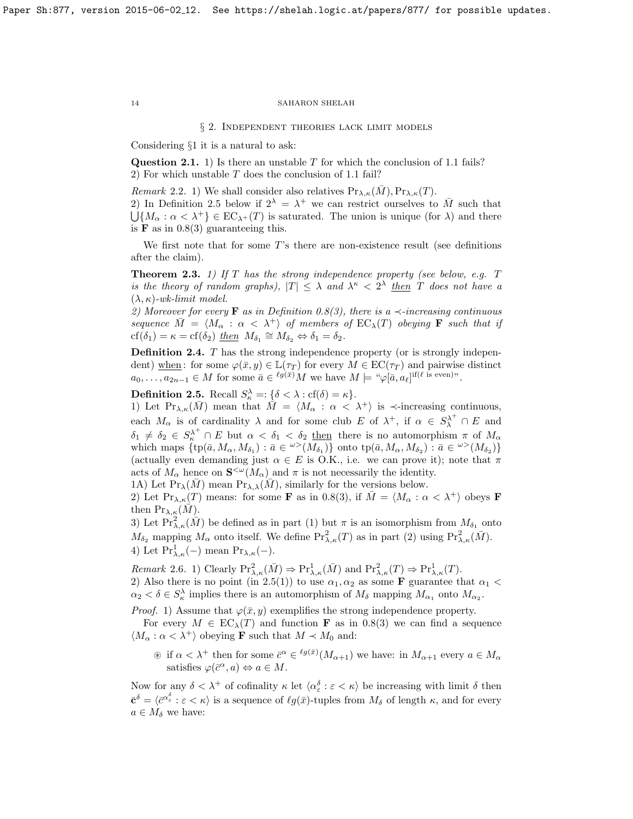§ 2. Independent theories lack limit models

Considering §1 it is a natural to ask:

Question 2.1. 1) Is there an unstable  $T$  for which the conclusion of [1.1](#page-8-0) fails? 2) For which unstable T does the conclusion of [1.1](#page-8-0) fail?

Remark 2.2. 1) We shall consider also relatives  $Pr_{\lambda,\kappa}(M), Pr_{\lambda,\kappa}(T)$ .

2) In Definition [2.5](#page-13-2) below if  $2^{\lambda} = \lambda^+$  we can restrict ourselves to  $\overline{M}$  such that  $\bigcup \{M_\alpha : \alpha < \lambda^+\} \in EC_{\lambda^+}(T)$  is saturated. The union is unique (for  $\lambda$ ) and there is **F** as in  $0.8(3)$  guaranteeing this.

We first note that for some  $T$ 's there are non-existence result (see definitions after the claim).

<span id="page-13-0"></span>**Theorem 2.3.** 1) If T has the strong independence property (see below, e.g.  $T$ is the theory of random graphs),  $|T| \leq \lambda$  and  $\lambda^{\kappa} < 2^{\lambda}$  then T does not have a  $(\lambda, \kappa)$ -wk-limit model.

2) Moreover for every **F** as in Definition [0.8\(](#page-4-0)3), there is a  $\prec$ -increasing continuous sequence  $M = \langle M_{\alpha} : \alpha < \lambda^+ \rangle$  of members of  $EC_{\lambda}(T)$  obeying **F** such that if  $cf(\delta_1) = \kappa = cf(\delta_2)$  then  $M_{\delta_1} \cong M_{\delta_2} \Leftrightarrow \delta_1 = \delta_2$ .

<span id="page-13-1"></span>Definition 2.4. T has the strong independence property (or is strongly independent) when : for some  $\varphi(\bar{x}, y) \in \mathbb{L}(\tau_T)$  for every  $M \in \mathrm{EC}(\tau_T)$  and pairwise distinct  $a_0, \ldots, a_{2n-1} \in M$  for some  $\bar{a} \in {}^{\ell g(\bar{x})}M$  we have  $M \models " \varphi[\bar{a}, a_\ell]^{if(\ell \text{ is even})"}$ .

<span id="page-13-2"></span>**Definition 2.5.** Recall  $S_{\kappa}^{\lambda} =: \{\delta < \lambda : \text{cf}(\delta) = \kappa\}.$ 

1) Let  $\Pr_{\lambda,\kappa}(\bar{M})$  mean that  $\tilde{M} = \langle M_\alpha : \alpha < \lambda^+ \rangle$  is  $\prec$ -increasing continuous, each  $M_{\alpha}$  is of cardinality  $\lambda$  and for some club E of  $\lambda^{+}$ , if  $\alpha \in S_{\lambda}^{\lambda^{+}} \cap E$  and  $\delta_1 \neq \delta_2 \in S_{\kappa}^{\lambda^+} \cap E$  but  $\alpha < \delta_1 < \delta_2$  then there is no automorphism  $\pi$  of  $M_{\alpha}$ which maps  $\{ \text{tp}(\bar{a}, M_{\alpha}, M_{\delta_1}) : \bar{a} \in {}^{\omega}>(M_{\delta_1}) \}$  onto  $\text{tp}(\bar{a}, M_{\alpha}, M_{\delta_2}) : \bar{a} \in {}^{\omega}>(M_{\delta_2}) \}$ (actually even demanding just  $\alpha \in E$  is O.K., i.e. we can prove it); note that  $\pi$ acts of  $M_{\alpha}$  hence on  $\mathbf{S}^{\leq \omega}(M_{\alpha})$  and  $\pi$  is not necessarily the identity.

1A) Let  $\Pr_{\lambda}(\overline{M})$  mean  $\Pr_{\lambda,\lambda}(\overline{M})$ , similarly for the versions below.

2) Let  $\Pr_{\lambda,\kappa}(T)$  means: for some **F** as in [0.8\(](#page-4-0)3), if  $\overline{M} = \langle M_{\alpha} : \alpha < \lambda^+ \rangle$  obeys **F** then  $\Pr_{\lambda,\kappa}(M)$ .

3) Let  $\Pr_{\lambda,\kappa}^2(\bar{M})$  be defined as in part (1) but  $\pi$  is an isomorphism from  $M_{\delta_1}$  onto  $M_{\delta_2}$  mapping  $M_{\alpha}$  onto itself. We define  $\Pr_{\lambda,\kappa}^2(T)$  as in part (2) using  $\Pr_{\lambda,\kappa}^2(\bar{M})$ . 4) Let  $Pr_{\lambda,\kappa}^1(-)$  mean  $Pr_{\lambda,\kappa}(-)$ .

Remark 2.6. 1) Clearly  $\Pr_{\lambda,\kappa}^2(\bar{M}) \Rightarrow \Pr_{\lambda,\kappa}^1(\bar{M})$  and  $\Pr_{\lambda,\kappa}^2(T) \Rightarrow \Pr_{\lambda,\kappa}^1(T)$ . 2) Also there is no point (in [2.5\(](#page-13-2)1)) to use  $\alpha_1, \alpha_2$  as some **F** guarantee that  $\alpha_1$  <  $\alpha_2 < \delta \in S_\kappa^\lambda$  implies there is an automorphism of  $M_\delta$  mapping  $M_{\alpha_1}$  onto  $M_{\alpha_2}$ .

*Proof.* 1) Assume that  $\varphi(\bar{x}, y)$  exemplifies the strong independence property.

For every  $M \in EC_{\lambda}(T)$  and function **F** as in [0.8\(](#page-4-0)3) we can find a sequence  $\langle M_{\alpha} : \alpha < \lambda^+ \rangle$  obeying **F** such that  $M \prec M_0$  and:

 $\circledast$  if  $\alpha < \lambda^+$  then for some  $\bar{c}^{\alpha} \in {}^{\ell g(\bar{x})}(M_{\alpha+1})$  we have: in  $M_{\alpha+1}$  every  $a \in M_{\alpha}$ satisfies  $\varphi(\bar{c}^{\alpha}, a) \Leftrightarrow a \in M$ .

Now for any  $\delta < \lambda^+$  of cofinality  $\kappa$  let  $\langle \alpha_{\varepsilon}^{\delta} : \varepsilon < \kappa \rangle$  be increasing with limit  $\delta$  then  $\bar{\mathbf{c}}^{\delta} = \langle \bar{c}^{\alpha_{\varepsilon}^{\delta}} : \varepsilon < \kappa \rangle$  is a sequence of  $\ell g(\bar{x})$ -tuples from  $M_{\delta}$  of length  $\kappa$ , and for every  $a \in M_{\delta}$  we have: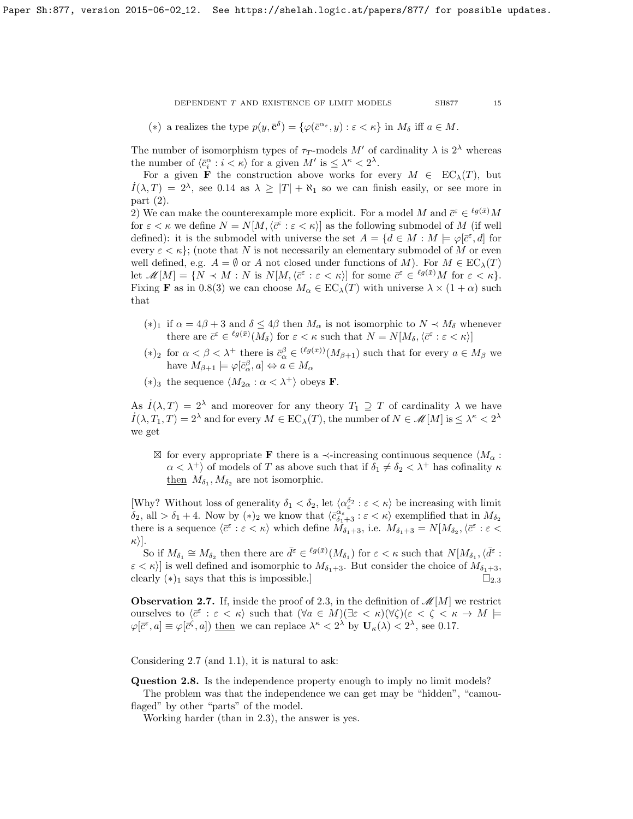(\*) a realizes the type  $p(y, \bar{c}^{\delta}) = {\varphi(\bar{c}^{\alpha_{\varepsilon}}, y) : \varepsilon < \kappa}$  in  $M_{\delta}$  iff  $a \in M$ .

The number of isomorphism types of  $\tau_T$ -models M' of cardinality  $\lambda$  is  $2^{\lambda}$  whereas the number of  $\langle \bar{c}_i^{\alpha} : i < \kappa \rangle$  for a given  $M'$  is  $\leq \lambda^{\kappa} < 2^{\lambda}$ .

For a given **F** the construction above works for every  $M \in EC_{\lambda}(T)$ , but  $I(\lambda, T) = 2^{\lambda}$ , see [0.14](#page-7-2) as  $\lambda \geq |T| + \aleph_1$  so we can finish easily, or see more in part (2).

2) We can make the counterexample more explicit. For a model M and  $\bar{c}^{\varepsilon} \in {}^{\ell g(\bar{x})}M$ for  $\varepsilon < \kappa$  we define  $N = N[M, \langle \bar{c}^{\varepsilon} : \varepsilon < \kappa \rangle]$  as the following submodel of M (if well defined): it is the submodel with universe the set  $A = \{d \in M : M \models \varphi[\bar{c}^{\varepsilon}, d] \text{ for }$ every  $\varepsilon < \kappa$ }; (note that N is not necessarily an elementary submodel of M or even well defined, e.g.  $A = \emptyset$  or A not closed under functions of M). For  $M \in EC_{\lambda}(T)$ let  $\mathscr{M}[M] = \{ N \prec M : N \text{ is } N[M, \langle \bar{c}^{\varepsilon} : \varepsilon \langle \kappa \rangle ] \text{ for some } \bar{c}^{\varepsilon} \in {^{\ell g(\bar{x})}}M \text{ for } \varepsilon \langle \kappa \rangle \}.$ Fixing **F** as in [0.8\(](#page-4-0)3) we can choose  $M_{\alpha} \in EC_{\lambda}(T)$  with universe  $\lambda \times (1+\alpha)$  such that

- (\*)<sub>1</sub> if  $\alpha = 4\beta + 3$  and  $\delta \leq 4\beta$  then  $M_{\alpha}$  is not isomorphic to  $N \prec M_{\delta}$  whenever there are  $\bar{c}^{\varepsilon} \in {}^{\ell g(\bar{x})}(M_{\delta})$  for  $\varepsilon < \kappa$  such that  $N = N[M_{\delta}, \langle \bar{c}^{\varepsilon} : \varepsilon < \kappa \rangle]$
- (\*)<sub>2</sub> for  $\alpha < \beta < \lambda^+$  there is  $\bar{c}_{\alpha}^{\beta} \in {(\ell g(\bar{x}))}(M_{\beta+1})$  such that for every  $a \in M_{\beta}$  we have  $M_{\beta+1} \models \varphi[\bar{c}_{\alpha}^{\beta}, a] \Leftrightarrow a \in M_{\alpha}$
- (\*)<sub>3</sub> the sequence  $\langle M_{2\alpha} : \alpha < \lambda^+ \rangle$  obeys **F**.

As  $\dot{I}(\lambda, T) = 2^{\lambda}$  and moreover for any theory  $T_1 \supseteq T$  of cardinality  $\lambda$  we have  $I(\lambda, T_1, T) = 2^{\lambda}$  and for every  $M \in EC_{\lambda}(T)$ , the number of  $N \in \mathcal{M}[M]$  is  $\leq \lambda^{\kappa} < 2^{\lambda}$ we get

 $\boxtimes$  for every appropriate **F** there is a  $\prec$ -increasing continuous sequence  $\langle M_{\alpha}$ :  $\alpha < \lambda^+$  of models of T as above such that if  $\delta_1 \neq \delta_2 < \lambda^+$  has cofinality  $\kappa$ then  $M_{\delta_1}, M_{\delta_2}$  are not isomorphic.

[Why? Without loss of generality  $\delta_1 < \delta_2$ , let  $\langle \alpha_{\varepsilon}^{\delta_2} : \varepsilon < \kappa \rangle$  be increasing with limit  $\delta_2$ , all  $> \delta_1 + 4$ . Now by  $(*)_2$  we know that  $\langle \bar{c}^{\alpha_{\varepsilon}}_{\delta_1+3} : \varepsilon < \kappa \rangle$  exemplified that in  $M_{\delta_2}$ there is a sequence  $\langle \bar{c}^{\varepsilon} : \varepsilon < \kappa \rangle$  which define  $\overline{M}_{\delta_1+3}$ , i.e.  $M_{\delta_1+3} = N[M_{\delta_2}, \langle \bar{c}^{\varepsilon} : \varepsilon <$  $\kappa$ ).

So if  $M_{\delta_1} \cong M_{\delta_2}$  then there are  $\bar{d}^{\varepsilon} \in {^{\ell g(\bar{x})}}(M_{\delta_1})$  for  $\varepsilon < \kappa$  such that  $N[M_{\delta_1}, \langle \bar{d}^{\varepsilon}]$ :  $\epsilon < \kappa$ ) is well defined and isomorphic to  $M_{\delta_1+3}$ . But consider the choice of  $M_{\delta_1+3}$ , clearly  $(*)_1$  says that this is impossible.]

<span id="page-14-0"></span>**Observation 2.7.** If, inside the proof of [2.3,](#page-13-0) in the definition of  $\mathcal{M}[M]$  we restrict ourselves to  $\langle \bar{c}^{\varepsilon} : \varepsilon < \kappa \rangle$  such that  $(\forall a \in M)(\exists \varepsilon < \kappa)(\forall \zeta)(\varepsilon < \zeta < \kappa \rightarrow M$  $\varphi[\bar{c}^{\varepsilon}, a] \equiv \varphi[\bar{c}^{\zeta}, a]$  then we can replace  $\lambda^{\kappa} < 2^{\lambda}$  by  $\mathbf{U}_{\kappa}(\lambda) < 2^{\lambda}$ , see [0.17.](#page-7-3)

Considering [2.7](#page-14-0) (and [1.1\)](#page-8-0), it is natural to ask:

Question 2.8. Is the independence property enough to imply no limit models?

The problem was that the independence we can get may be "hidden", "camouflaged" by other "parts" of the model.

Working harder (than in [2.3\)](#page-13-0), the answer is yes.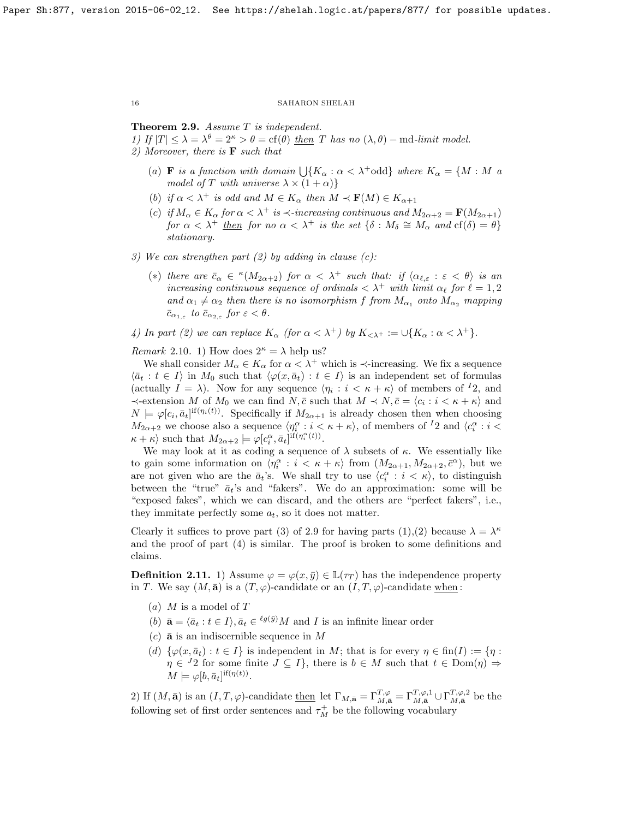# <span id="page-15-0"></span>Theorem 2.9. Assume T is independent.

1) If  $|T| \leq \lambda = \lambda^{\theta} = 2^{\kappa} > \theta = \text{cf}(\theta)$  then T has no  $(\lambda, \theta)$  – md-limit model. 2) Moreover, there is  $\bf{F}$  such that

- (a) **F** is a function with domain  $\bigcup \{K_\alpha : \alpha < \lambda^+$ odd} where  $K_\alpha = \{M : M \text{ and } \alpha\}$ model of T with universe  $\lambda \times (1 + \alpha)$
- (b) if  $\alpha < \lambda^+$  is odd and  $M \in K_\alpha$  then  $M \prec \mathbf{F}(M) \in K_{\alpha+1}$
- (c) if  $M_{\alpha} \in K_{\alpha}$  for  $\alpha < \lambda^{+}$  is  $\prec$ -increasing continuous and  $M_{2\alpha+2} = \mathbf{F}(M_{2\alpha+1})$ for  $\alpha < \lambda^+$  then for no  $\alpha < \lambda^+$  is the set  $\{\delta : M_\delta \cong M_\alpha \text{ and cf}(\delta) = \theta\}$ stationary.
- 3) We can strengthen part  $(2)$  by adding in clause  $(c)$ :
	- (\*) there are  $\bar{c}_{\alpha} \in {}^{\kappa}(M_{2\alpha+2})$  for  $\alpha < \lambda^+$  such that: if  $\langle \alpha_{\ell,\varepsilon} : \varepsilon < \theta \rangle$  is an increasing continuous sequence of ordinals  $\langle \lambda^+ \text{ with limit } \alpha_\ell \text{ for } \ell = 1, 2$ and  $\alpha_1 \neq \alpha_2$  then there is no isomorphism f from  $M_{\alpha_1}$  onto  $M_{\alpha_2}$  mapping  $\bar{c}_{\alpha_{1,\varepsilon}}$  to  $\bar{c}_{\alpha_{2,\varepsilon}}$  for  $\varepsilon < \theta$ .

4) In part (2) we can replace  $K_{\alpha}$  (for  $\alpha < \lambda^{+}$ ) by  $K_{<\lambda^{+}} := \cup \{K_{\alpha} : \alpha < \lambda^{+}\}.$ 

*Remark* 2.10. 1) How does  $2^{\kappa} = \lambda$  help us?

We shall consider  $M_{\alpha} \in K_{\alpha}$  for  $\alpha < \lambda^{+}$  which is  $\prec$ -increasing. We fix a sequence  $\langle \bar{a}_t : t \in I \rangle$  in  $M_0$  such that  $\langle \varphi(x, \bar{a}_t) : t \in I \rangle$  is an independent set of formulas (actually  $I = \lambda$ ). Now for any sequence  $\langle \eta_i : i \langle \kappa + \kappa \rangle$  of members of <sup>I</sup>2, and  $\prec$ -extension M of  $M_0$  we can find  $N, \bar{c}$  such that  $M \prec N, \bar{c} = \langle c_i : i \prec \kappa + \kappa \rangle$  and  $N \models \varphi[c_i, \bar{a}_t]^{\text{if}(\eta_i(t))}$ . Specifically if  $M_{2\alpha+1}$  is already chosen then when choosing  $M_{2\alpha+2}$  we choose also a sequence  $\langle \eta_i^{\alpha}: i \leq \kappa+\kappa \rangle$ , of members of <sup>1</sup>2 and  $\langle c_i^{\alpha}: i \leq$  $\kappa + \kappa$  such that  $M_{2\alpha+2} \models \varphi[c_i^{\alpha}, \bar{a}_t]^{\text{if}(\eta_i^{\alpha}(t))}.$ 

We may look at it as coding a sequence of  $\lambda$  subsets of  $\kappa$ . We essentially like to gain some information on  $\langle \eta_i^{\alpha} : i < \kappa + \kappa \rangle$  from  $(M_{2\alpha+1}, M_{2\alpha+2}, \bar{c}^{\alpha})$ , but we are not given who are the  $\bar{a}_t$ 's. We shall try to use  $\langle c_i^{\alpha} : i \langle \kappa \rangle$ , to distinguish between the "true"  $\bar{a}_t$ 's and "fakers". We do an approximation: some will be "exposed fakes", which we can discard, and the others are "perfect fakers", i.e., they immitate perfectly some  $a_t$ , so it does not matter.

Clearly it suffices to prove part (3) of [2.9](#page-15-0) for having parts (1),(2) because  $\lambda = \lambda^{\kappa}$ and the proof of part (4) is similar. The proof is broken to some definitions and claims.

<span id="page-15-1"></span>**Definition 2.11.** 1) Assume  $\varphi = \varphi(x, \bar{y}) \in \mathbb{L}(\tau_T)$  has the independence property in T. We say  $(M, \bar{\mathbf{a}})$  is a  $(T, \varphi)$ -candidate or an  $(I, T, \varphi)$ -candidate when:

- (a)  $M$  is a model of  $T$
- (b)  $\bar{\mathbf{a}} = \langle \bar{a}_t : t \in I \rangle, \bar{a}_t \in \ell^{g(\bar{y})}M$  and I is an infinite linear order
- (c)  $\bar{a}$  is an indiscernible sequence in M
- (d)  $\{\varphi(x,\bar{a}_t):t\in I\}$  is independent in M; that is for every  $\eta\in\text{fin}(I):=\{\eta:$  $\eta \in {}^{J}2$  for some finite  $J \subseteq I$ , there is  $b \in M$  such that  $t \in Dom(\eta) \Rightarrow$  $M \models \varphi[b, \bar{a}_t]^{if(\eta(t))}.$

2) If  $(M, \bar{\mathbf{a}})$  is an  $(I, T, \varphi)$ -candidate <u>then</u> let  $\Gamma_{M, \bar{\mathbf{a}}} = \Gamma_{M, \bar{\mathbf{a}}}^{T, \varphi} = \Gamma_{M, \bar{\mathbf{a}}}^{T, \varphi, 1} \cup \Gamma_{M, \bar{\mathbf{a}}}^{T, \varphi, 2}$  be the following set of first order sentences and  $\tau_M^+$  be the following vocabulary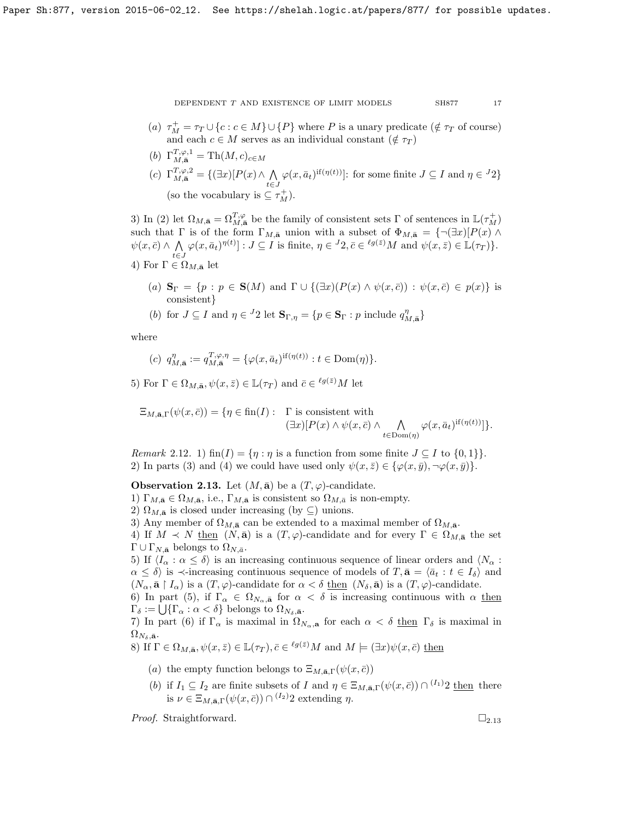- (a)  $\tau_M^+ = \tau_T \cup \{c : c \in M\} \cup \{P\}$  where P is a unary predicate ( $\notin \tau_T$  of course) and each  $c \in M$  serves as an individual constant  $(\notin \tau_T)$
- (b)  $\Gamma_{M,\bar{\mathbf{a}}}^{T,\varphi,1} = \text{Th}(M,c)_{c \in M}$
- (c)  $\Gamma_{M,\bar{\mathbf{a}}}^{T,\varphi,2} = \{(\exists x)[P(x) \wedge \bigwedge$  $\bigwedge_{t \in J} \varphi(x, \bar{a}_t)^{\text{if}(\eta(t))}$ : for some finite  $J \subseteq I$  and  $\eta \in {}^J 2$ (so the vocabulary is  $\subseteq \tau_M^+$ ).

3) In (2) let  $\Omega_{M,\bar{\mathbf{a}}} = \Omega_{M,\bar{\mathbf{a}}}^{T,\varphi}$  be the family of consistent sets  $\Gamma$  of sentences in  $\mathbb{L}(\tau_M^+)$ such that  $\Gamma$  is of the form  $\Gamma_{M,\bar{\mathbf{a}}}$  union with a subset of  $\Phi_{M,\bar{\mathbf{a}}} = {\neg(\exists x)[P(x) \land \neg P(x)]}$  $\psi(x,\bar{c}) \wedge \Lambda$  $\bigwedge_{t \in J} \varphi(x, \bar{a}_t)^{\eta(t)}] : J \subseteq I$  is finite,  $\eta \in {}^J2, \bar{c} \in {}^{\ell g(\bar{z})}M$  and  $\psi(x, \bar{z}) \in \mathbb{L}(\tau_T)$ .

- 4) For  $\Gamma \in \Omega_{M,\bar{\mathbf{a}}}$  let
	- (a)  $\mathbf{S}_{\Gamma} = \{p : p \in \mathbf{S}(M) \text{ and } \Gamma \cup \{(\exists x)(P(x) \wedge \psi(x,\overline{c})) : \psi(x,\overline{c}) \in p(x)\}\$ is consistent}
	- (b) for  $J \subseteq I$  and  $\eta \in {}^{J}2$  let  $\mathbf{S}_{\Gamma, \eta} = \{p \in \mathbf{S}_{\Gamma} : p \text{ include } q_{M, \bar{\mathbf{a}}}^{\eta}\}$

where

$$
(c) \ \ q_{M,\mathbf{\bar{a}}}^{\eta} := q_{M,\mathbf{\bar{a}}}^{T,\varphi,\eta} = \{ \varphi(x,\bar{a}_t)^{\text{if}(\eta(t))} : t \in \text{Dom}(\eta) \}.
$$

5) For  $\Gamma \in \Omega_{M,\bar{\mathbf{a}}}, \psi(x,\bar{z}) \in \mathbb{L}(\tau_T)$  and  $\bar{c} \in {}^{\ell g(\bar{z})}M$  let

$$
\Xi_{M,\bar{\mathbf{a}},\Gamma}(\psi(x,\bar{c})) = \{ \eta \in \text{fin}(I): \quad \Gamma \text{ is consistent with}
$$
  

$$
(\exists x)[P(x) \land \psi(x,\bar{c}) \land \bigwedge_{t \in \text{Dom}(\eta)} \varphi(x,\bar{a}_t)^{\text{if}(\eta(t))} ] \}.
$$

Remark 2.12. 1) fin(I) = { $\eta : \eta$  is a function from some finite  $J \subseteq I$  to {0, 1}}. 2) In parts (3) and (4) we could have used only  $\psi(x,\bar{z}) \in {\varphi(x,\bar{y}), \neg \varphi(x,\bar{y})}.$ 

<span id="page-16-0"></span>**Observation 2.13.** Let  $(M, \bar{a})$  be a  $(T, \varphi)$ -candidate.

- 1)  $\Gamma_{M,\bar{\mathbf{a}}}\in\Omega_{M,\bar{\mathbf{a}}},$  i.e.,  $\Gamma_{M,\bar{\mathbf{a}}}$  is consistent so  $\Omega_{M,\bar{a}}$  is non-empty.
- 2)  $\Omega_{M,\bar{\mathbf{a}}}$  is closed under increasing (by ⊆) unions.
- 3) Any member of  $\Omega_{M,\bar{\mathbf{a}}}$  can be extended to a maximal member of  $\Omega_{M,\bar{\mathbf{a}}}$ .

4) If  $M \prec N$  then  $(N, \bar{\mathbf{a}})$  is a  $(T, \varphi)$ -candidate and for every  $\Gamma \in \Omega_{M, \bar{\mathbf{a}}}$  the set  $\Gamma \cup \Gamma_{N,\bar{\mathbf{a}}}$  belongs to  $\Omega_{N,\bar{a}}$ .

5) If  $\langle I_{\alpha} : \alpha \leq \delta \rangle$  is an increasing continuous sequence of linear orders and  $\langle N_{\alpha} :$  $\alpha \leq \delta$  is  $\prec$ -increasing continuous sequence of models of  $T, \bar{\mathbf{a}} = \langle \bar{a}_t : t \in I_{\delta} \rangle$  and  $(N_\alpha, \bar{\mathbf{a}} \restriction I_\alpha)$  is a  $(T, \varphi)$ -candidate for  $\alpha < \delta$  then  $(N_\delta, \bar{\mathbf{a}})$  is a  $(T, \varphi)$ -candidate.

6) In part (5), if  $\Gamma_{\alpha} \in \Omega_{N_{\alpha},\bar{\mathbf{a}}}$  for  $\alpha < \delta$  is increasing continuous with  $\alpha$  then  $\Gamma_{\delta} := \bigcup \{ \Gamma_{\alpha} : \alpha < \delta \}$  belongs to  $\Omega_{N_{\delta}, \bar{\mathbf{a}}}$ .

7) In part (6) if  $\Gamma_{\alpha}$  is maximal in  $\Omega_{N_{\alpha},a}$  for each  $\alpha < \delta$  then  $\Gamma_{\delta}$  is maximal in  $\Omega_{N_\delta,\bar{\mathbf{a}}}$ .

8) If 
$$
\Gamma \in \Omega_{M,\bar{\mathbf{a}}}, \psi(x,\bar{z}) \in \mathbb{L}(\tau_T), \bar{c} \in {^{l}g(\bar{z})M}
$$
 and  $M \models (\exists x)\psi(x,\bar{c})$  then

- (a) the empty function belongs to  $\Xi_{M,\bar{\mathbf{a}},\Gamma}(\psi(x,\bar{c}))$
- (b) if  $I_1 \subseteq I_2$  are finite subsets of I and  $\eta \in \Xi_{M,\bar{\mathbf{a}},\Gamma}(\psi(x,\bar{c})) \cap {}^{(I_1)}2$  then there is  $\nu \in \Xi_{M,\bar{\mathbf{a}},\Gamma}(\psi(x,\bar{c})) \cap {}^{(I_2)}2$  extending  $\eta$ .

*Proof.* Straightforward.  $\square_{2.13}$  $\square_{2.13}$  $\square_{2.13}$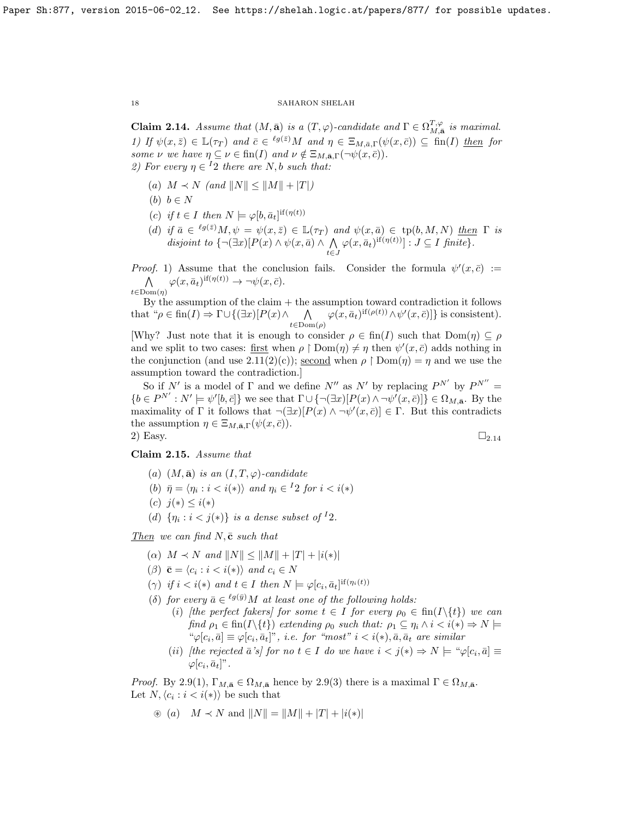<span id="page-17-0"></span>**Claim 2.14.** Assume that  $(M, \bar{\mathbf{a}})$  is a  $(T, \varphi)$ -candidate and  $\Gamma \in \Omega_{M, \bar{\mathbf{a}}}^{T, \varphi}$  is maximal. 1) If  $\psi(x,\bar{z}) \in \mathbb{L}(\tau_T)$  and  $\bar{c} \in {}^{\ell g(\bar{z})}M$  and  $\eta \in \Xi_{M,\bar{a},\Gamma}(\psi(x,\bar{c})) \subseteq \text{fin}(I)$  then for some  $\nu$  we have  $\eta \subseteq \nu \in \text{fin}(I)$  and  $\nu \notin \Xi_{M,\bar{\mathbf{a}},\Gamma}(\neg \psi(x,\bar{c})).$ 2) For every  $\eta \in {}^{I}2$  there are N, b such that:

- (a)  $M \prec N$  (and  $||N|| \leq ||M|| + |T|$ )
- (b)  $b \in N$
- (c) if  $t \in I$  then  $N \models \varphi[b, \bar{a}_t]^{if(\eta(t))}$
- (d) if  $\bar{a} \in {}^{\ell g(\bar{z})}M, \psi = \psi(x, \bar{z}) \in \mathbb{L}(\tau_T)$  and  $\psi(x, \bar{a}) \in tp(b, M, N)$  then  $\Gamma$  is disjoint to  $\{\neg(\exists x)[P(x) \land \psi(x, \bar{a}) \land \bigwedge$  $\bigwedge_{t \in J} \varphi(x, \bar{a}_t)^{\text{if}(\eta(t))} : J \subseteq I \text{ finite}.$

*Proof.* 1) Assume that the conclusion fails. Consider the formula  $\psi'(x,\bar{c}) :=$  $\wedge$  $t \in \text{Dom}(\eta)$  $\varphi(x,\bar{a}_t)^{\text{if}(\eta(t))} \to \neg \psi(x,\bar{c}).$ 

By the assumption of the claim  $+$  the assumption toward contradiction it follows that " $\rho \in \text{fin}(I) \Rightarrow \Gamma \cup \{(\exists x)[P(x) \land \bigwedge \varphi(x, \bar{a}_t)^{\text{if}(\rho(t))} \land \psi'(x, \bar{c})]\}$  is consistent).  $t \in \mathrm{Dom}(\rho)$ 

[Why? Just note that it is enough to consider  $\rho \in \text{fin}(I)$  such that  $\text{Dom}(\eta) \subseteq \rho$ and we split to two cases: first when  $\rho \restriction \text{Dom}(\eta) \neq \eta$  then  $\psi'(x, \bar{c})$  adds nothing in the conjunction (and use  $2.11(2)(c)$ ); second when  $\rho \restriction Dom(\eta) = \eta$  and we use the assumption toward the contradiction.]

So if N' is a model of  $\Gamma$  and we define N'' as N' by replacing  $P^{N'}$  by  $P^{N''}$  =  ${b \in P^{N'}: N' \models \psi'[b, \bar{c}]}$  we see that  $\Gamma \cup {\neg (\exists x)[P(x) \land \neg \psi'(x, \bar{c})]} \in \Omega_{M, \bar{\mathbf{a}}}$ . By the maximality of  $\Gamma$  it follows that  $\neg(\exists x)[P(x) \land \neg \psi'(x, \bar{c})] \in \Gamma$ . But this contradicts the assumption  $\eta \in \Xi_{M,\bar{\mathbf{a}},\Gamma}(\psi(x,\bar{c})).$ 2) Easy.  $\Box_{2.14}$  $\Box_{2.14}$  $\Box_{2.14}$ 

<span id="page-17-1"></span>Claim 2.15. Assume that

- (a)  $(M, \bar{\mathbf{a}})$  is an  $(I, T, \varphi)$ -candidate
- (b)  $\bar{\eta} = \langle \eta_i : i < i(*) \rangle$  and  $\eta_i \in {}^I 2$  for  $i < i(*)$
- (c)  $j(*)$  ≤  $i(*)$
- (d)  $\{\eta_i : i < j(*)\}$  is a dense subset of <sup>1</sup>2.

Then we can find  $N$ ,  $\bar{c}$  such that

- (a)  $M \prec N$  and  $||N|| \leq ||M|| + |T| + |i(*)|$
- $(\beta) \ \bar{\mathbf{c}} = \langle c_i : i < i(*) \rangle \ \text{and} \ c_i \in N$
- ( $\gamma$ ) if  $i < i(*)$  and  $t \in I$  then  $N \models \varphi[c_i, \bar{a}_t]^{\text{if}(\eta_i(t))}$
- (δ) for every  $\bar{a} \in {}^{\ell g(\bar{y})}M$  at least one of the following holds:
	- (i) [the perfect fakers] for some  $t \in I$  for every  $\rho_0 \in \text{fin}(I \setminus \{t\})$  we can find  $\rho_1 \in \text{fin}(I \setminus \{t\})$  extending  $\rho_0$  such that:  $\rho_1 \subseteq \eta_i \land i \lt i(*) \Rightarrow N \models$  $\mathscr{L}[c_i, \bar{a}] \equiv \varphi[c_i, \bar{a}_t]^n$ , i.e. for "most"  $i < i(*)$ ,  $\bar{a}, \bar{a}_t$  are similar
	- (ii) [the rejected  $\bar{a}$ 's] for no  $t \in I$  do we have  $i < j(*) \Rightarrow N \models \text{``}\varphi[c_i, \bar{a}] \equiv$  $\varphi[c_i, \bar{a}_t]$ ".

*Proof.* By [2.9\(](#page-15-0)1),  $\Gamma_{M,\bar{\mathbf{a}}} \in \Omega_{M,\bar{\mathbf{a}}}$  hence by 2.9(3) there is a maximal  $\Gamma \in \Omega_{M,\bar{\mathbf{a}}}$ . Let  $N, \langle c_i : i < i(*) \rangle$  be such that

 $\circledast$  (a)  $M \prec N$  and  $||N|| = ||M|| + |T| + |i(*)|$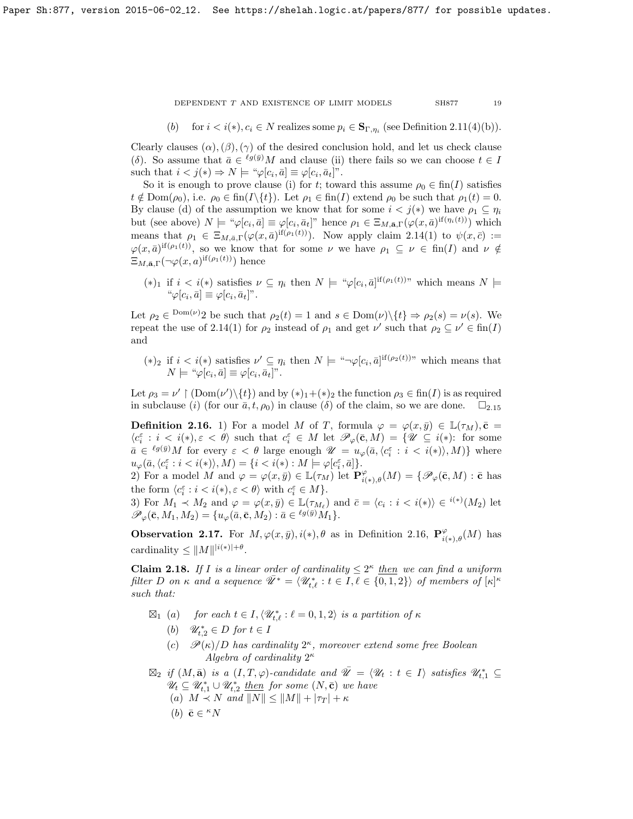(b) for  $i < i(*)$ ,  $c_i \in N$  realizes some  $p_i \in \mathbf{S}_{\Gamma,\eta_i}$  (see Definition [2.11\(](#page-15-1)4)(b)).

Clearly clauses  $(\alpha)$ ,  $(\beta)$ ,  $(\gamma)$  of the desired conclusion hold, and let us check clause (δ). So assume that  $\bar{a} \in \ell^{g(\bar{y})}M$  and clause (ii) there fails so we can choose  $t \in I$ such that  $i < j(*) \Rightarrow N \models ``\varphi[c_i, \bar{a}] \equiv \varphi[c_i, \bar{a}_t]'.$ 

So it is enough to prove clause (i) for t; toward this assume  $\rho_0 \in \text{fin}(I)$  satisfies  $t \notin \text{Dom}(\rho_0)$ , i.e.  $\rho_0 \in \text{fin}(I\setminus\{t\})$ . Let  $\rho_1 \in \text{fin}(I)$  extend  $\rho_0$  be such that  $\rho_1(t) = 0$ . By clause (d) of the assumption we know that for some  $i < j(*)$  we have  $\rho_1 \subseteq \eta_i$ but (see above)  $N \models " \varphi[c_i, \bar{a}] \equiv \varphi[c_i, \bar{a}_t]$ " hence  $\rho_1 \in \Xi_{M, \bar{\mathbf{a}}, \Gamma}(\varphi(x, \bar{a})^{\text{if}(\eta_i(t))})$  which means that  $\rho_1 \in \Xi_{M,\bar{a},\Gamma}(\varphi(x,\bar{a})^{\text{if}(\rho_1(t))})$ . Now apply claim [2.14\(](#page-17-0)1) to  $\psi(x,\bar{c}) :=$  $\varphi(x,\bar{a})^{if(\rho_1(t))}$ , so we know that for some  $\nu$  we have  $\rho_1 \subseteq \nu \in fin(I)$  and  $\nu \notin$  $\Xi_{M,\bar{\mathbf{a}},\Gamma}(\neg\varphi(x,a)^{\text{if}(\rho_1(t))})$  hence

 $(*)_1$  if  $i < i(*)$  satisfies  $\nu \subseteq \eta_i$  then  $N \models {\text{``}\varphi[c_i, \bar{a}]^{if(\rho_1(t))}}"$  which means  $N \models$ " $\varphi[c_i, \bar{a}] \equiv \varphi[c_i, \bar{a}_t]$ ".

Let  $\rho_2 \in \text{Dom}(\nu)$  be such that  $\rho_2(t) = 1$  and  $s \in \text{Dom}(\nu) \setminus \{t\} \Rightarrow \rho_2(s) = \nu(s)$ . We repeat the use of [2.14\(](#page-17-0)1) for  $\rho_2$  instead of  $\rho_1$  and get  $\nu'$  such that  $\rho_2 \subseteq \nu' \in \text{fin}(I)$ and

(\*)<sub>2</sub> if  $i < i(*)$  satisfies  $\nu' \subseteq \eta_i$  then  $N \models {\text{``}\neg\varphi[c_i, \bar{a}]}^{\text{if}(\rho_2(t))}$ " which means that  $N \models "\varphi[c_i, \bar{a}] \equiv \varphi[c_i, \bar{a}_t]".$ 

Let  $\rho_3 = \nu' \restriction (\text{Dom}(\nu') \setminus \{t\})$  and by  $(*)_1 + (*)_2$  the function  $\rho_3 \in \text{fin}(I)$  is as required in subclause (i) (for our  $\bar{a}$ ,  $t$ ,  $\rho_0$ ) in clause ( $\delta$ ) of the claim, so we are done.  $\square_{2,15}$  $\square_{2,15}$  $\square_{2,15}$ 

<span id="page-18-0"></span>**Definition 2.16.** 1) For a model M of T, formula  $\varphi = \varphi(x, \bar{y}) \in \mathbb{L}(\tau_M)$ ,  $\bar{\mathbf{c}} =$  $\langle c_i^{\varepsilon} : i < i(*), \varepsilon < \theta \rangle$  such that  $c_i^{\varepsilon} \in M$  let  $\mathscr{P}_{\varphi}(\bar{\mathbf{c}}, M) = \{ \mathscr{U} \subseteq i(*) : \text{ for some }$  $\bar{a} \in {^{\ell g(\bar{y})}}M$  for every  $\varepsilon < \theta$  large enough  $\mathscr{U} = u_{\varphi}(\bar{a}, \langle c_i^{\varepsilon} : i < i \langle * \rangle \rangle, M)$  where  $u_{\varphi}(\bar{a}, \langle c_i^{\varepsilon} : i < i(*) \rangle, M) = \{i < i(*) : M \models \varphi[c_i^{\varepsilon}, \bar{a}] \}.$ 

2) For a model M and  $\varphi = \varphi(x, \bar{y}) \in \mathbb{L}(\tau_M)$  let  $\mathbf{P}^{\varphi}_{i(*)}, \rho(M) = \{ \mathscr{P}_{\varphi}(\bar{\mathbf{c}}, M) : \bar{\mathbf{c}} \text{ has } \}$ the form  $\langle c_i^{\varepsilon} : i < i(*), \varepsilon < \theta \rangle$  with  $c_i^{\varepsilon} \in M$ .

3) For  $M_1 \prec M_2$  and  $\varphi = \varphi(x, \bar{y}) \in \mathbb{L}(\tau_{M_\ell})$  and  $\bar{c} = \langle c_i : i \langle i \rangle \rangle \in i^{(*)}(M_2)$  let  $\mathscr{P}_{\varphi}(\bar{\mathbf{c}}, M_1, M_2) = \{u_{\varphi}(\bar{a}, \bar{\mathbf{c}}, M_2) : \bar{a} \in {}^{\ell g(\bar{y})} M_1\}.$ 

**Observation 2.17.** For  $M, \varphi(x, \bar{y}), i(*), \theta$  as in Definition [2.16,](#page-18-0)  $\mathbf{P}_{i(*),\theta}^{\varphi}(M)$  has cardinality  $\leq \|M\|^{i(*)|+\theta}$ .

<span id="page-18-1"></span>**Claim 2.18.** If I is a linear order of cardinality  $\leq 2^{\kappa}$  then we can find a uniform filter D on  $\kappa$  and a sequence  $\overline{\mathscr{U}}^* = \langle \mathscr{U}_{t,\ell}^* : t \in I, \overline{\ell} \in \{0,1,2\} \rangle$  of members of  $[\kappa]^{\kappa}$ such that:

- $\boxtimes_1$  (a) for each  $t \in I, \langle \mathscr{U}_{t,\ell}^* : \ell = 0,1,2 \rangle$  is a partition of  $\kappa$ 
	- (b)  $\mathscr{U}_{t,2}^* \in D$  for  $t \in I$
	- (c)  $\mathscr{P}(\kappa)/D$  has cardinality  $2^{\kappa}$ , moreover extend some free Boolean Algebra of cardinality  $2^{\kappa}$
- $\boxtimes_2$  if  $(M, \bar{\mathbf{a}})$  is a  $(I, T, \varphi)$ -candidate and  $\overline{\mathscr{U}} = \langle \mathscr{U}_t : t \in I \rangle$  satisfies  $\mathscr{U}_{t,1}^* \subseteq$  $\mathscr{U}_t \subseteq \mathscr{U}_{t,1}^* \cup \mathscr{U}_{t,2}^*$  then for some  $(N,\bar{\mathbf{c}})$  we have (a)  $M \prec N$  and  $||N|| \leq ||M|| + |\tau_T| + \kappa$ 
	- (b)  $\bar{\mathbf{c}} \in \kappa N$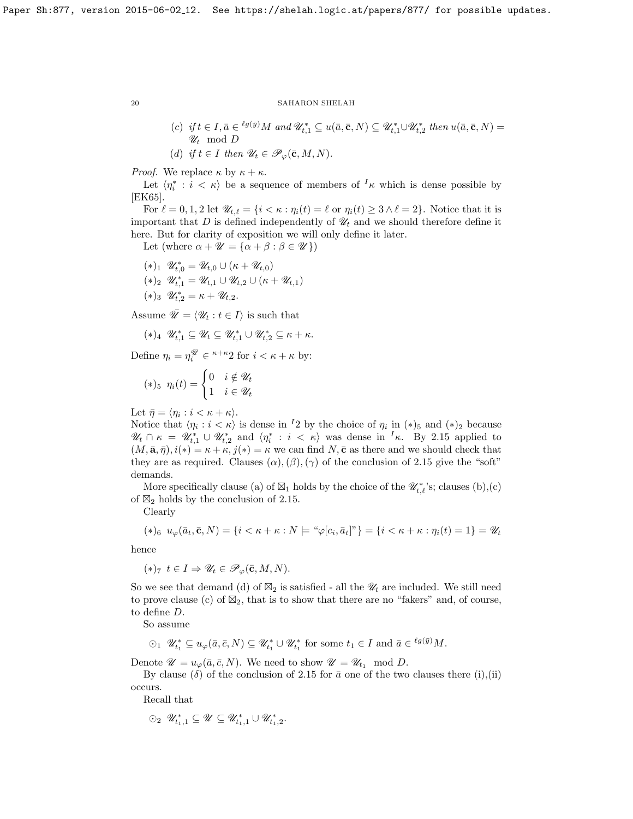(c) if  $t \in I$ ,  $\bar{a} \in {}^{\ell g(\bar{y})}M$  and  $\mathscr{U}_{t,1}^* \subseteq u(\bar{a}, \bar{c}, N) \subseteq \mathscr{U}_{t,1}^* \cup \mathscr{U}_{t,2}^*$  then  $u(\bar{a}, \bar{c}, N) =$  $\mathscr{U}_t \mod D$ (d) if  $t \in I$  then  $\mathscr{U}_t \in \mathscr{P}_\varphi(\bar{\mathbf{c}}, M, N)$ .

*Proof.* We replace  $\kappa$  by  $\kappa + \kappa$ .

Let  $\langle \eta_i^* : i \langle \kappa \rangle$  be a sequence of members of  $\kappa$  which is dense possible by [\[EK65\]](#page-26-5).

For  $\ell = 0, 1, 2$  let  $\mathscr{U}_{t,\ell} = \{i < \kappa : \eta_i(t) = \ell \text{ or } \eta_i(t) \geq 3 \land \ell = 2\}$ . Notice that it is important that  $D$  is defined independently of  $\mathcal{U}_t$  and we should therefore define it here. But for clarity of exposition we will only define it later.

Let (where  $\alpha + \mathscr{U} = {\alpha + \beta : \beta \in \mathscr{U}}$ )

 $(*)_1 \mathscr{U}_{t,0}^* = \mathscr{U}_{t,0} \cup (\kappa + \mathscr{U}_{t,0})$  $(*)_2 \ \mathscr{U}_{t,1}^* = \mathscr{U}_{t,1} \cup \mathscr{U}_{t,2} \cup (\kappa + \mathscr{U}_{t,1})$  $(*)_3 \mathscr{U}_{t,2}^* = \kappa + \mathscr{U}_{t,2}.$ 

Assume  $\overline{\mathscr{U}} = \langle \mathscr{U}_t : t \in I \rangle$  is such that

$$
(*)_4 \quad \mathscr{U}_{t,1}^* \subseteq \mathscr{U}_t \subseteq \mathscr{U}_{t,1}^* \cup \mathscr{U}_{t,2}^* \subseteq \kappa + \kappa.
$$

Define  $\eta_i = \eta_i^{\overline{\mathscr{U}}} \in {}^{\kappa+\kappa}2$  for  $i < \kappa + \kappa$  by:

$$
(*)_5 \ \eta_i(t) = \begin{cases} 0 & i \notin \mathcal{U}_t \\ 1 & i \in \mathcal{U}_t \end{cases}
$$

Let  $\bar{\eta} = \langle \eta_i : i < \kappa + \kappa \rangle$ .

Notice that  $\langle \eta_i : i < \kappa \rangle$  is dense in <sup>1</sup>2 by the choice of  $\eta_i$  in  $(*)_5$  and  $(*)_2$  because  $\mathscr{U}_t \cap \kappa = \mathscr{U}_{t,1}^* \cup \mathscr{U}_{t,2}^*$  and  $\langle \eta_i^* : i \langle \kappa \rangle$  was dense in  $^I\kappa$ . By [2.15](#page-17-1) applied to  $(M, \bar{\mathbf{a}}, \bar{\eta}), i(*) = \kappa + \kappa, j(*) = \kappa$  we can find  $N, \bar{\mathbf{c}}$  as there and we should check that they are as required. Clauses  $(\alpha)$ ,  $(\beta)$ ,  $(\gamma)$  of the conclusion of [2.15](#page-17-1) give the "soft" demands.

More specifically clause (a) of  $\boxtimes_1$  holds by the choice of the  $\mathscr{U}_{t,\ell}^*$ 's; clauses (b),(c) of  $\boxtimes_2$  holds by the conclusion of [2.15.](#page-17-1)

Clearly

$$
(*)_6 \quad u_{\varphi}(\bar{a}_t, \bar{\mathbf{c}}, N) = \{i < \kappa + \kappa : N \models \text{``}\varphi[c_i, \bar{a}_t] \text{''}\} = \{i < \kappa + \kappa : \eta_i(t) = 1\} = \mathcal{U}_t
$$

hence

$$
(*)_7 \ t \in I \Rightarrow \mathscr{U}_t \in \mathscr{P}_{\varphi}(\bar{\mathbf{c}}, M, N).
$$

So we see that demand (d) of  $\mathbb{Z}_2$  is satisfied - all the  $\mathscr{U}_t$  are included. We still need to prove clause (c) of  $\mathbb{Z}_2$ , that is to show that there are no "fakers" and, of course, to define D.

So assume

$$
\odot_1 \ \mathscr{U}_{t_1}^* \subseteq u_{\varphi}(\bar{a}, \bar{c}, N) \subseteq \mathscr{U}_{t_1}^* \cup \mathscr{U}_{t_1}^* \text{ for some } t_1 \in I \text{ and } \bar{a} \in {}^{\ell g(\bar{y})}M.
$$

Denote  $\mathscr{U} = u_{\varphi}(\bar{a}, \bar{c}, N)$ . We need to show  $\mathscr{U} = \mathscr{U}_{t_1} \mod D$ .

By clause ( $\delta$ ) of the conclusion of [2.15](#page-17-1) for  $\bar{a}$  one of the two clauses there (i),(ii) occurs.

Recall that

$$
\odot_2 \ \mathscr{U}^*_{t_1,1} \subseteq \mathscr{U} \subseteq \mathscr{U}^*_{t_1,1} \cup \mathscr{U}^*_{t_1,2}.
$$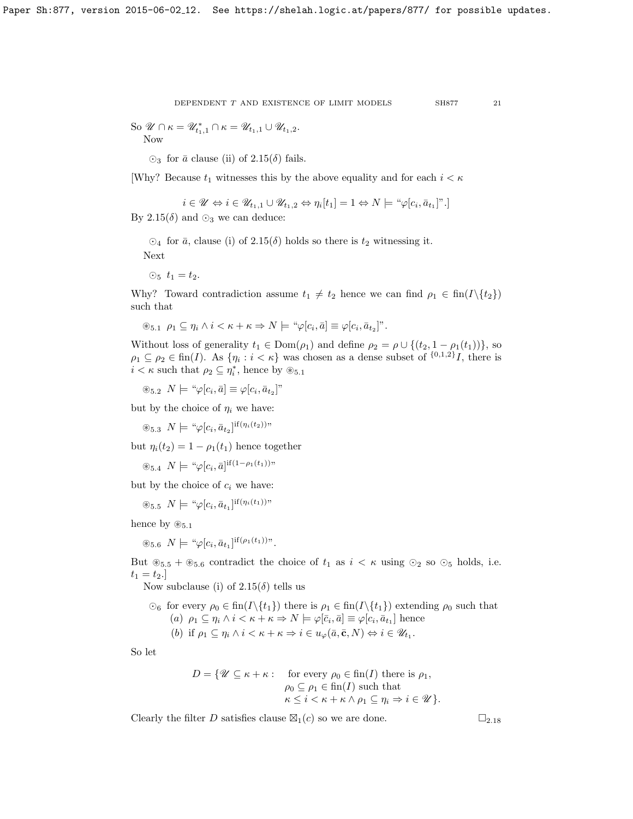DEPENDENT  $T$  AND EXISTENCE OF LIMIT MODELS  $\,$  SH877  $\,$   $\,$  21  $\,$ 

So  $\mathcal{U} \cap \kappa = \mathcal{U}_{t_1,1}^* \cap \kappa = \mathcal{U}_{t_1,1} \cup \mathcal{U}_{t_1,2}.$ Now

 $\odot$ <sub>3</sub> for  $\bar{a}$  clause (ii) of [2.15\(](#page-17-1) $\delta$ ) fails.

[Why? Because  $t_1$  witnesses this by the above equality and for each  $i < \kappa$ 

$$
i \in \mathcal{U} \Leftrightarrow i \in \mathcal{U}_{t_1,1} \cup \mathcal{U}_{t_1,2} \Leftrightarrow \eta_i[t_1] = 1 \Leftrightarrow N \models \text{``}\varphi[c_i, \bar{a}_{t_1}]\text{''}.
$$

By [2.15\(](#page-17-1) $\delta$ ) and  $\odot$ <sub>3</sub> we can deduce:

 $\odot_4$  for  $\bar{a}$ , clause (i) of [2.15\(](#page-17-1) $\delta$ ) holds so there is  $t_2$  witnessing it. Next

 $\odot_5$   $t_1 = t_2$ .

Why? Toward contradiction assume  $t_1 \neq t_2$  hence we can find  $\rho_1 \in \text{fin}(I\setminus\{t_2\})$ such that

$$
\circledast_{5.1} \rho_1 \subseteq \eta_i \wedge i < \kappa + \kappa \Rightarrow N \models \text{``}\varphi[c_i, \bar{a}] \equiv \varphi[c_i, \bar{a}_{t_2}]\text{''}.
$$

Without loss of generality  $t_1 \in \text{Dom}(\rho_1)$  and define  $\rho_2 = \rho \cup \{(t_2, 1 - \rho_1(t_1))\}$ , so  $\rho_1 \subseteq \rho_2 \in \text{fin}(I)$ . As  $\{\eta_i : i < \kappa\}$  was chosen as a dense subset of  $\{0,1,2\}$ , there is  $i < \kappa$  such that  $\rho_2 \subseteq \eta_i^*$ , hence by  $\circledast_{5.1}$ 

 $\circledast_{5.2} N \models \text{``}\varphi[c_i, \bar{a}] \equiv \varphi[c_i, \bar{a}_{t_2}]$ "

but by the choice of  $\eta_i$  we have:

 $\circledast_{5.3} N \models \text{``}\varphi[c_i, \bar{a}_{t_2}]^{\text{if}(\eta_i(t_2))}$ "

but  $\eta_i(t_2) = 1 - \rho_1(t_1)$  hence together

 $\circledast_{5.4} N \models " \varphi[c_i, \bar{a}]^{if(1-\rho_1(t_1))}"$ 

but by the choice of  $c_i$  we have:

 $\circledast_{5.5} N \models \text{``}\varphi[c_i, \bar{a}_{t_1}]^{\text{if}(\eta_i(t_1))\text{''}}$ 

hence by  $\otimes_{5.1}$ 

 $\circledast_{5.6} N \models " \varphi[c_i, \bar{a}_{t_1}]^{if(\rho_1(t_1))}"$ .

But  $\mathscr{L}_{5.5} + \mathscr{L}_{5.6}$  contradict the choice of  $t_1$  as  $i \lt \kappa$  using  $\odot_2$  so  $\odot_5$  holds, i.e.  $t_1 = t_2.$ 

Now subclause (i) of  $2.15(\delta)$  tells us

 $\odot_6$  for every  $\rho_0 \in \text{fin}(I \setminus \{t_1\})$  there is  $\rho_1 \in \text{fin}(I \setminus \{t_1\})$  extending  $\rho_0$  such that (a)  $\rho_1 \subseteq \eta_i \land i \lt \kappa + \kappa \Rightarrow N \models \varphi[\bar{c}_i, \bar{a}] \equiv \varphi[c_i, \bar{a}_{t_1}]$  hence (b) if  $\rho_1 \subseteq \eta_i \land i \lt \kappa + \kappa \Rightarrow i \in u_\varphi(\bar{a}, \bar{c}, N) \Leftrightarrow i \in \mathscr{U}_{t_1}$ .

So let

$$
D = \{ \mathscr{U} \subseteq \kappa + \kappa : \text{ for every } \rho_0 \in \text{fin}(I) \text{ there is } \rho_1, \\ \rho_0 \subseteq \rho_1 \in \text{fin}(I) \text{ such that } \\ \kappa \le i < \kappa + \kappa \land \rho_1 \subseteq \eta_i \Rightarrow i \in \mathscr{U} \}.
$$

Clearly the filter D satisfies clause  $\boxtimes_1(c)$  so we are done.  $\square_{2.18}$  $\square_{2.18}$  $\square_{2.18}$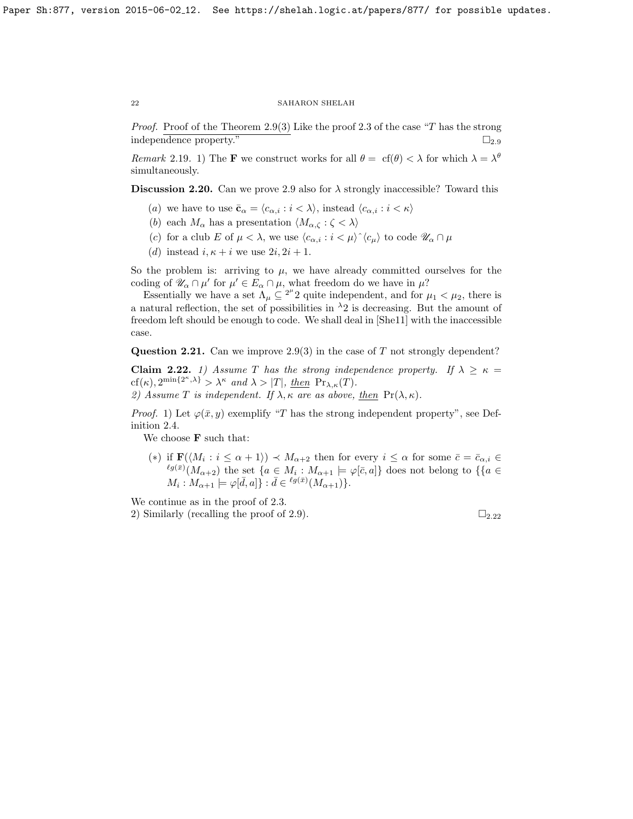*Proof.* Proof of the Theorem [2.9\(](#page-15-0)3) Like the proof [2.3](#page-13-0) of the case "T has the strong independence property."  $\Box_{2.9}$  $\Box_{2.9}$  $\Box_{2.9}$ 

Remark 2.19. 1) The **F** we construct works for all  $\theta = cf(\theta) < \lambda$  for which  $\lambda = \lambda^{\theta}$ simultaneously.

Discussion 2.20. Can we prove [2.9](#page-15-0) also for  $\lambda$  strongly inaccessible? Toward this

- (a) we have to use  $\bar{\mathbf{c}}_{\alpha} = \langle c_{\alpha,i} : i \langle \lambda \rangle$ , instead  $\langle c_{\alpha,i} : i \langle \kappa \rangle$
- (b) each  $M_{\alpha}$  has a presentation  $\langle M_{\alpha,\zeta} : \zeta \langle \lambda \rangle$
- (c) for a club E of  $\mu < \lambda$ , we use  $\langle c_{\alpha,i} : i < \mu \rangle^{\wedge} \langle c_{\mu} \rangle$  to code  $\mathscr{U}_{\alpha} \cap \mu$
- (d) instead  $i, \kappa + i$  we use  $2i, 2i + 1$ .

So the problem is: arriving to  $\mu$ , we have already committed ourselves for the coding of  $\mathscr{U}_{\alpha} \cap \mu'$  for  $\mu' \in E_{\alpha} \cap \mu$ , what freedom do we have in  $\mu$ ?

Essentially we have a set  $\Lambda_{\mu} \subseteq 2^{\mu}2$  quite independent, and for  $\mu_1 < \mu_2$ , there is a natural reflection, the set of possibilities in  $\lambda_2$  is decreasing. But the amount of freedom left should be enough to code. We shall deal in [\[She11\]](#page-27-8) with the inaccessible case.

Question 2.21. Can we improve [2.9\(](#page-15-0)3) in the case of T not strongly dependent?

<span id="page-21-0"></span>Claim 2.22. 1) Assume T has the strong independence property. If  $\lambda \geq \kappa =$  $cf(\kappa), 2^{\min\{2^{\kappa},\lambda\}} > \lambda^{\kappa}$  and  $\lambda > |T|$ , then  $Pr_{\lambda,\kappa}(T)$ . 2) Assume T is independent. If  $\lambda, \kappa$  are as above, then  $\Pr(\lambda, \kappa)$ .

*Proof.* 1) Let  $\varphi(\bar{x}, y)$  exemplify "T has the strong independent property", see Definition [2.4.](#page-13-1)

We choose  $\mathbf F$  such that:

(\*) if  $\mathbf{F}(\langle M_i : i \leq \alpha + 1 \rangle) \prec M_{\alpha+2}$  then for every  $i \leq \alpha$  for some  $\bar{c} = \bar{c}_{\alpha,i} \in$  $\ell^{g(\bar{x})}(M_{\alpha+2})$  the set  $\{a \in M_i : M_{\alpha+1} \models \varphi[\bar{c},a]\}$  does not belong to  $\{\{a \in \mathbb{R}^d : |a| \neq 0\}$  $M_i: M_{\alpha+1} \models \varphi[\bar{d},a] \} : \bar{d} \in {^{\ell g(\bar{x})}}(M_{\alpha+1})\}.$ 

We continue as in the proof of [2.3.](#page-13-0) 2) Similarly (recalling the proof of [2.9\)](#page-15-0).  $\Box_{2.22}$  $\Box_{2.22}$  $\Box_{2.22}$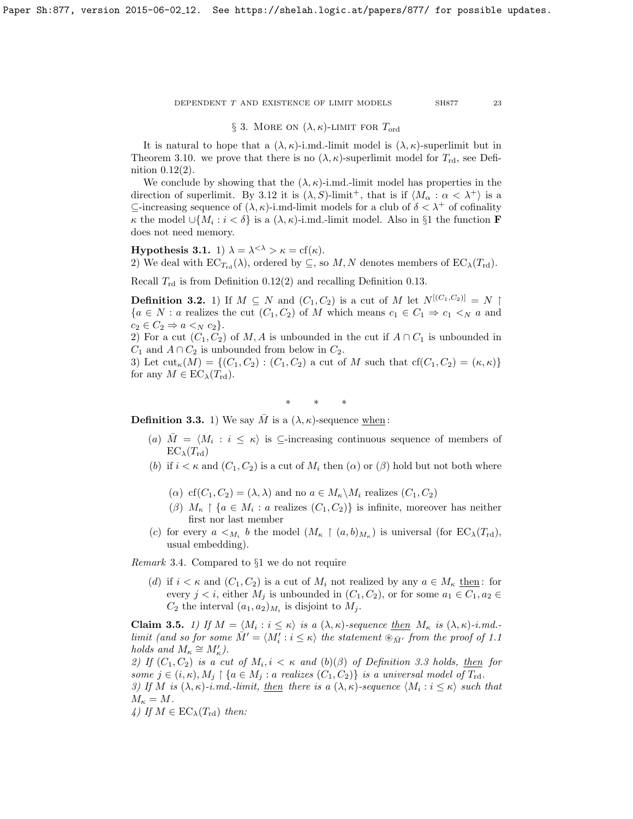# § 3. MORE ON  $(\lambda, \kappa)$ -LIMIT FOR  $T_{\text{ord}}$

It is natural to hope that a  $(\lambda, \kappa)$ -i.md.-limit model is  $(\lambda, \kappa)$ -superlimit but in Theorem [3.10.](#page-24-0) we prove that there is no  $(\lambda, \kappa)$ -superlimit model for  $T_{\rm rd}$ , see Definition [0.12\(](#page-7-0)2).

We conclude by showing that the  $(\lambda, \kappa)$ -i.md.-limit model has properties in the direction of superlimit. By [3.12](#page-25-0) it is  $(\lambda, S)$ -limit<sup>+</sup>, that is if  $\langle M_{\alpha} : \alpha < \lambda^+ \rangle$  is a  $\subseteq$ -increasing sequence of  $(\lambda, \kappa)$ -i.md-limit models for a club of  $\delta < \lambda^+$  of cofinality  $κ$  the model ∪{ $M_i$ :  $i < δ$ } is a  $(λ, κ)$ -i.md.-limit model. Also in §1 the function **F** does not need memory.

**Hypothesis 3.1.** 1)  $\lambda = \lambda^{<\lambda} > \kappa = \text{cf}(\kappa)$ . 2) We deal with  $EC_{T_{\rm rd}}(\lambda)$ , ordered by  $\subseteq$ , so M, N denotes members of  $EC_{\lambda}(T_{\rm rd})$ .

Recall  $T_{\rm rd}$  is from Definition [0.12\(](#page-7-0)2) and recalling Definition [0.13.](#page-7-1)

**Definition 3.2.** 1) If  $M \subseteq N$  and  $(C_1, C_2)$  is a cut of M let  $N^{\lfloor (C_1, C_2) \rfloor} = N$  ${a \in N : a$  realizes the cut  $(C_1, C_2)$  of M which means  $c_1 \in C_1 \Rightarrow c_1 \prec_N a$  and  $c_2 \in C_2 \Rightarrow a <_N c_2$ .

2) For a cut  $(C_1, C_2)$  of M, A is unbounded in the cut if  $A \cap C_1$  is unbounded in  $C_1$  and  $A \cap C_2$  is unbounded from below in  $C_2$ .

3) Let  $\text{cut}_{\kappa}(M) = \{(C_1, C_2) : (C_1, C_2) \text{ a cut of } M \text{ such that } \text{cf}(C_1, C_2) = (\kappa, \kappa)\}\$ for any  $M \in EC_{\lambda}(T_{\rm rd})$ .

∗ ∗ ∗

<span id="page-22-1"></span>**Definition 3.3.** 1) We say  $\overline{M}$  is a  $(\lambda, \kappa)$ -sequence when:

- (a)  $\overline{M} = \langle M_i : i \leq \kappa \rangle$  is  $\subseteq$ -increasing continuous sequence of members of  $EC_{\lambda}(T_{\rm rd})$
- (b) if  $i < \kappa$  and  $(C_1, C_2)$  is a cut of  $M_i$  then  $(\alpha)$  or  $(\beta)$  hold but not both where
	- ( $\alpha$ ) cf( $C_1, C_2$ ) = ( $\lambda, \lambda$ ) and no  $a \in M_{\kappa} \backslash M_i$  realizes ( $C_1, C_2$ )
	- $(\beta)$   $M_{\kappa} \restriction \{a \in M_i : a \text{ realizes } (C_1, C_2)\}$  is infinite, moreover has neither first nor last member
- (c) for every  $a \lt_{M_i} b$  the model  $(M_{\kappa} \restriction (a, b)_{M_{\kappa}})$  is universal (for  $EC_{\lambda}(T_{\rm rd})$ , usual embedding).

Remark 3.4. Compared to §1 we do not require

(d) if  $i < \kappa$  and  $(C_1, C_2)$  is a cut of  $M_i$  not realized by any  $a \in M_\kappa$  then: for every  $j < i$ , either  $M_j$  is unbounded in  $(C_1, C_2)$ , or for some  $a_1 \in C_1$ ,  $a_2 \in$  $C_2$  the interval  $(a_1, a_2)_{M_i}$  is disjoint to  $M_j$ .

<span id="page-22-0"></span>**Claim 3.5.** 1) If  $M = \langle M_i : i \leq \kappa \rangle$  is a  $(\lambda, \kappa)$ -sequence then  $M_{\kappa}$  is  $(\lambda, \kappa)$ -i.md.limit (and so for some  $\overrightarrow{M}' = \langle M'_i : i \leq \kappa \rangle$  the statement  $\overline{\mathfrak{D}_{\overrightarrow{M}'}}$  from the proof of [1.1](#page-8-0) holds and  $M_{\kappa} \cong M_{\kappa}'$ ).

2) If  $(C_1, C_2)$  is a cut of  $M_i, i \lt \kappa$  and  $(b)(\beta)$  of Definition [3.3](#page-22-1) holds, then for some  $j \in (i, \kappa), M_j \restriction \{a \in M_j : a \text{ realizes } (C_1, C_2) \}$  is a universal model of  $T_{\text{rd}}$ . 3) If M is  $(\lambda, \kappa)$ -i.md.-limit, <u>then</u> there is a  $(\lambda, \kappa)$ -sequence  $\langle M_i : i \leq \kappa \rangle$  such that  $M<sub>k</sub> = M$ 

$$
m_K = m.
$$
  

$$
L_{\text{H}} M \in \text{EC} \ (T)
$$

4) If  $M \in EC_{\lambda}(T_{\rm rd})$  then: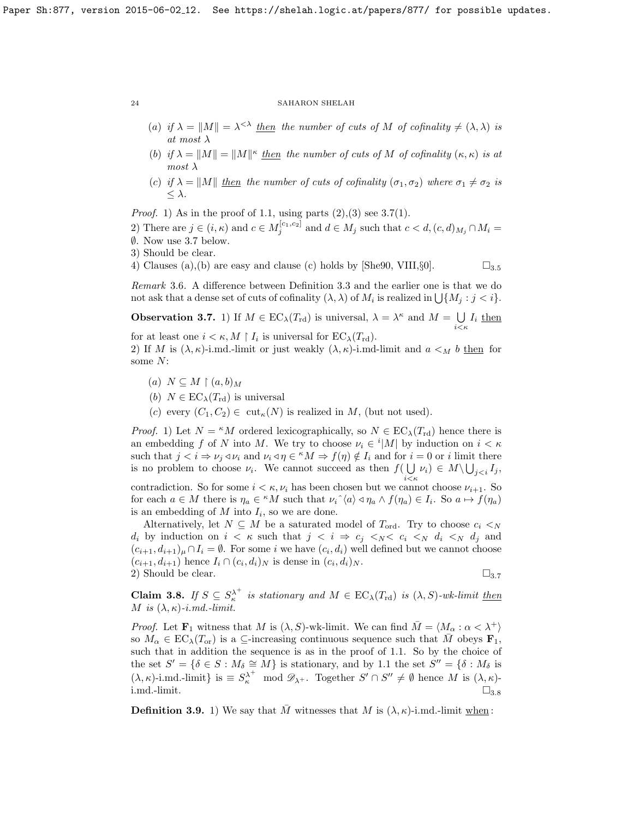- (a) if  $\lambda = ||M|| = \lambda^{<\lambda}$  then the number of cuts of M of cofinality  $\neq (\lambda, \lambda)$  is at most  $\lambda$
- (b) if  $\lambda = ||M|| = ||M||^{\kappa}$  then the number of cuts of M of cofinality  $(\kappa, \kappa)$  is at  $most \lambda$
- (c) if  $\lambda = ||M||$  then the number of cuts of cofinality ( $\sigma_1, \sigma_2$ ) where  $\sigma_1 \neq \sigma_2$  is  $\leq \lambda$ .

*Proof.* 1) As in the proof of [1.1,](#page-8-0) using parts  $(2),(3)$  see [3.7\(](#page-23-0)1).

2) There are  $j \in (i, \kappa)$  and  $c \in M_j^{[c_1, c_2]}$  and  $d \in M_j$  such that  $c < d$ ,  $(c, d)_{M_j} \cap M_i =$  $\emptyset$ . Now use [3.7](#page-23-0) below.

3) Should be clear.

some N:

4) Clauses (a),(b) are easy and clause (c) holds by [\[She90,](#page-27-12) VIII, $\S0$ ].  $\square_{3.5}$  $\square_{3.5}$  $\square_{3.5}$ 

Remark 3.6. A difference between Definition [3.3](#page-22-1) and the earlier one is that we do not ask that a dense set of cuts of cofinality  $(\lambda, \lambda)$  of  $M_i$  is realized in  $\bigcup \{M_j : j < i\}.$ 

<span id="page-23-0"></span>**Observation 3.7.** 1) If  $M \in EC_{\lambda}(T_{\text{rd}})$  is universal,  $\lambda = \lambda^{\kappa}$  and  $M = \bigcup I_i$  then  $i<\kappa$ 

for at least one  $i < \kappa$ ,  $M \restriction I_i$  is universal for  $EC_{\lambda}(T_{\rm rd})$ . 2) If M is  $(\lambda, \kappa)$ -i.md.-limit or just weakly  $(\lambda, \kappa)$ -i.md-limit and  $a <sub>M</sub> b$  then for

- (a)  $N \subseteq M \upharpoonright (a, b)_M$
- (b)  $N \in EC_{\lambda}(T_{\rm rd})$  is universal
- (c) every  $(C_1, C_2) \in {\rm cut}_{\kappa}(N)$  is realized in M, (but not used).

*Proof.* 1) Let  $N = {}^{\kappa}M$  ordered lexicographically, so  $N \in EC_{\lambda}(T_{\rm rd})$  hence there is an embedding f of N into M. We try to choose  $\nu_i \in \ell^2 |M|$  by induction on  $i < \kappa$ such that  $j < i \Rightarrow \nu_j \triangleleft \nu_i$  and  $\nu_i \triangleleft \eta \in {}^{\kappa}M \Rightarrow f(\eta) \notin I_i$  and for  $i = 0$  or i limit there is no problem to choose  $\nu_i$ . We cannot succeed as then  $f(\bigcup \nu_i) \in M \setminus \bigcup_{j,$  $i<\kappa$ 

contradiction. So for some  $i < \kappa, \nu_i$  has been chosen but we cannot choose  $\nu_{i+1}$ . So for each  $a \in M$  there is  $\eta_a \in {}^{\kappa}M$  such that  $\nu_i \hat{\ } \langle a \rangle \triangleleft \eta_a \wedge f(\eta_a) \in I_i$ . So  $a \mapsto f(\eta_a)$ is an embedding of  $M$  into  $I_i$ , so we are done.

Alternatively, let  $N \subseteq M$  be a saturated model of  $T_{\text{ord}}$ . Try to choose  $c_i \lt_N$  $d_i$  by induction on  $i < \kappa$  such that  $j < i \Rightarrow c_j <_{N} c_i <_{N} d_i <_{N} d_j$  and  $(c_{i+1}, d_{i+1})_{\mu} \cap I_i = \emptyset$ . For some i we have  $(c_i, d_i)$  well defined but we cannot choose  $(c_{i+1}, d_{i+1})$  hence  $I_i \cap (c_i, d_i)_N$  is dense in  $(c_i, d_i)_N$ . 2) Should be clear.  $\Box_{3.7}$  $\Box_{3.7}$  $\Box_{3.7}$ 

<span id="page-23-1"></span>**Claim 3.8.** If  $S \subseteq S_{\kappa}^{\lambda^+}$  is stationary and  $M \in EC_{\lambda}(T_{\rm rd})$  is  $(\lambda, S)$ -wk-limit then M is  $(\lambda, \kappa)$ -i.md.-limit.

*Proof.* Let  $\mathbf{F}_1$  witness that M is  $(\lambda, S)$ -wk-limit. We can find  $\overline{M} = \langle M_\alpha : \alpha < \lambda^+ \rangle$ so  $M_{\alpha} \in EC_{\lambda}(T_{\alpha r})$  is a  $\subseteq$ -increasing continuous sequence such that  $\overline{M}$  obeys  $\mathbf{F}_1$ , such that in addition the sequence is as in the proof of [1.1.](#page-8-0) So by the choice of the set  $S' = \{\delta \in S : M_{\delta} \cong M\}$  is stationary, and by [1.1](#page-8-0) the set  $S'' = \{\delta : M_{\delta}$  is  $(\lambda, \kappa)$ -i.md.-limit} is  $\equiv S_{\kappa}^{\lambda^+} \mod \mathscr{D}_{\lambda^+}$ . Together  $S' \cap S'' \neq \emptyset$  hence M is  $(\lambda, \kappa)$ i.md.-limit.  $\square_{3.8}$  $\square_{3.8}$  $\square_{3.8}$ 

**Definition 3.9.** 1) We say that  $\overline{M}$  witnesses that M is  $(\lambda, \kappa)$ -i.md.-limit when: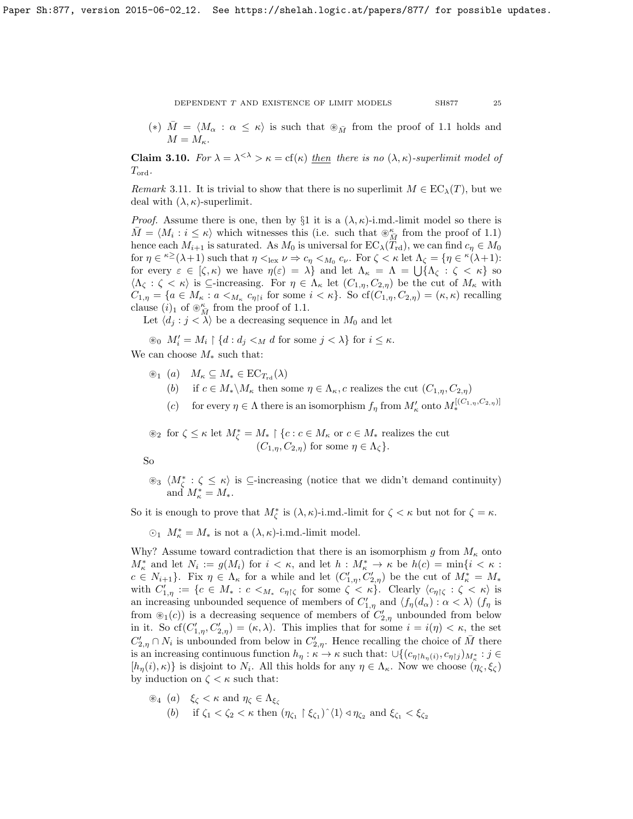(\*)  $\overline{M} = \langle M_\alpha : \alpha \leq \kappa \rangle$  is such that  $\otimes_{\overline{M}}$  from the proof of [1.1](#page-8-0) holds and  $M = M_{\kappa}$ .

<span id="page-24-0"></span>**Claim 3.10.** For  $\lambda = \lambda^{< \lambda} > \kappa = \text{cf}(\kappa)$  then there is no  $(\lambda, \kappa)$ -superlimit model of  $T_{\text{ord}}$ .

Remark 3.11. It is trivial to show that there is no superlimit  $M \in EC_{\lambda}(T)$ , but we deal with  $(\lambda, \kappa)$ -superlimit.

*Proof.* Assume there is one, then by §1 it is a  $(\lambda, \kappa)$ -i.md.-limit model so there is  $\overline{M} = \langle M_i : i \leq \kappa \rangle$  which witnesses this (i.e. such that  $\mathcal{L}_{\overline{M}}^{\kappa}$  from the proof of [1.1\)](#page-8-0) hence each  $M_{i+1}$  is saturated. As  $M_0$  is universal for  $EC_{\lambda}(T_{\rm rd})$ , we can find  $c_{\eta} \in M_0$ for  $\eta \in {}^{\kappa \geq} (\lambda + 1)$  such that  $\eta <sub>lex</sub> \nu \Rightarrow c_{\eta} <_{M_0} c_{\nu}$ . For  $\zeta < \kappa$  let  $\Lambda_{\zeta} = {\eta \in {}^{\kappa} (\lambda + 1)}$ : for every  $\varepsilon \in [\zeta, \kappa)$  we have  $\eta(\varepsilon) = \lambda\}$  and let  $\Lambda_{\kappa} = \Lambda = \bigcup \{\Lambda_{\zeta} : \zeta < \kappa\}$  so  $\langle \Lambda_{\zeta} : \zeta < \kappa \rangle$  is ⊆-increasing. For  $\eta \in \Lambda_{\kappa}$  let  $(C_{1,\eta}, C_{2,\eta})$  be the cut of  $M_{\kappa}$  with  $C_{1,\eta} = \{a \in M_{\kappa} : a <_{M_{\kappa}} c_{\eta} \}$  for some  $i < \kappa\}$ . So  $cf(C_{1,\eta}, C_{2,\eta}) = (\kappa, \kappa)$  recalling clause  $(i)_1$  of  $\otimes_{\overline{M}}^{\kappa}$  from the proof of [1.1.](#page-8-0)

Let  $\langle d_i : j < \lambda \rangle$  be a decreasing sequence in  $M_0$  and let

 $\mathcal{B}_0$   $M'_i = M_i \restriction \{d : d_j \leq_M d \text{ for some } j \lt \lambda\}$  for  $i \leq \kappa$ .

We can choose  $M_*$  such that:

- $\circledast_1$  (a)  $M_{\kappa} \subseteq M_{*} \in \mathrm{EC}_{T_{\mathrm{rd}}}(\lambda)$ 
	- (b) if  $c \in M_* \backslash M_{\kappa}$  then some  $\eta \in \Lambda_{\kappa}$ , c realizes the cut  $(C_{1,\eta}, C_{2,\eta})$
	- (c) for every  $\eta \in \Lambda$  there is an isomorphism  $f_{\eta}$  from  $M'_{\kappa}$  onto  $M_*^{[(C_{1,\eta},C_{2,\eta})]}$

 $\mathcal{L}_2$  for  $\zeta \leq \kappa$  let  $M_{\zeta}^* = M_* \restriction \{c : c \in M_{\kappa} \text{ or } c \in M_* \text{ realizes the cut }\}$  $(C_{1,n}, C_{2,n})$  for some  $\eta \in \Lambda_{\mathcal{C}}$ .

So

 $\otimes_3 \langle M^*_{\zeta} : \zeta \leq \kappa \rangle$  is ⊆-increasing (notice that we didn't demand continuity) and  $M^*_{\kappa} = M_*$ .

So it is enough to prove that  $M_{\zeta}^*$  is  $(\lambda, \kappa)$ -i.md.-limit for  $\zeta < \kappa$  but not for  $\zeta = \kappa$ .

 $\odot$ <sub>1</sub>  $M_{\kappa}^* = M_*$  is not a  $(\lambda, \kappa)$ -i.md.-limit model.

Why? Assume toward contradiction that there is an isomorphism g from  $M_{\kappa}$  onto  $M^*_{\kappa}$  and let  $N_i := g(M_i)$  for  $i < \kappa$ , and let  $h : M^*_{\kappa} \to \kappa$  be  $h(c) = \min\{i < \kappa :$  $c \in N_{i+1}$ . Fix  $\eta \in \Lambda_{\kappa}$  for a while and let  $(C'_{1,\eta}, C'_{2,\eta})$  be the cut of  $M_{\kappa}^* = M_*$ with  $C'_{1,\eta} := \{c \in M_* : c <_{M_*} c_{\eta \upharpoonright \zeta} \text{ for some } \zeta < \kappa\}.$  Clearly  $\langle c_{\eta \upharpoonright \zeta} : \zeta < \kappa \rangle$  is an increasing unbounded sequence of members of  $C'_{1,\eta}$  and  $\langle f_\eta(d_\alpha) : \alpha < \lambda \rangle$  ( $f_\eta$  is from  $\mathcal{L}_1(c)$  is a decreasing sequence of members of  $C'_{2,\eta}$  unbounded from below in it. So  $cf(C'_{1,\eta}, C'_{2,\eta}) = (\kappa, \lambda)$ . This implies that for some  $i = i(\eta) < \kappa$ , the set  $C'_{2,\eta} \cap N_i$  is unbounded from below in  $C'_{2,\eta}$ . Hence recalling the choice of  $\bar{M}$  there is an increasing continuous function  $h_{\eta} : \kappa \to \kappa$  such that:  $\cup \{(c_{\eta \upharpoonright h_{\eta}(i)}, c_{\eta \upharpoonright j})_{M_{\kappa}^*} : j \in$  $[h_{\eta}(i),\kappa)\}$  is disjoint to  $N_i$ . All this holds for any  $\eta \in \Lambda_{\kappa}$ . Now we choose  $(\eta_{\zeta},\xi_{\zeta})$ by induction on  $\zeta \leq \kappa$  such that:

$$
\mathcal{L}_4 \quad (a) \quad \xi_{\zeta} < \kappa \text{ and } \eta_{\zeta} \in \Lambda_{\xi_{\zeta}}
$$
\n
$$
(b) \quad \text{if } \zeta_1 < \zeta_2 < \kappa \text{ then } (\eta_{\zeta_1} \upharpoonright \xi_{\zeta_1})^{\wedge} \langle 1 \rangle \triangleleft \eta_{\zeta_2} \text{ and } \xi_{\zeta_1} < \xi_{\zeta_2}
$$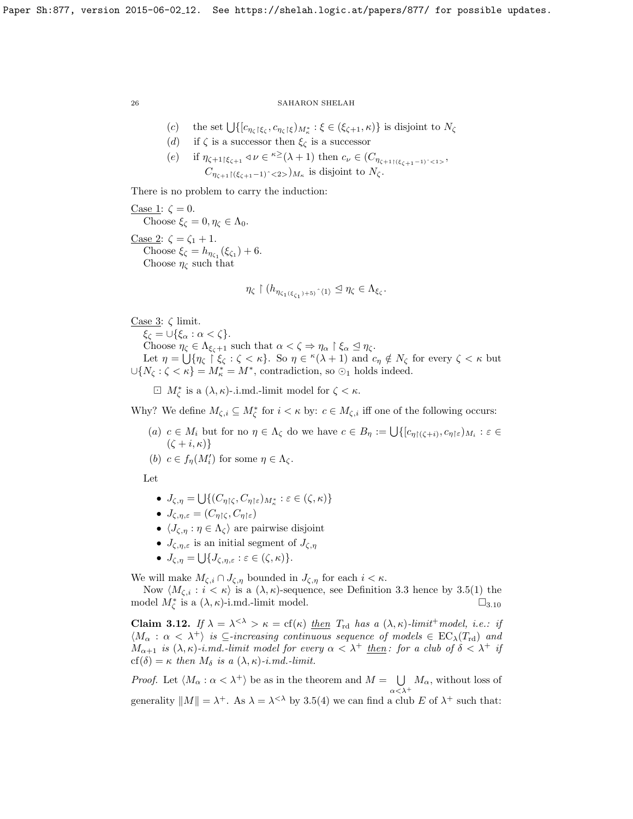(c) the set  $\bigcup \{ [c_{\eta_{\zeta}} \upharpoonright \xi_{\zeta}, c_{\eta_{\zeta}} \upharpoonright \xi \} M_{\kappa}^* : \xi \in (\xi_{\zeta+1}, \kappa) \}$  is disjoint to  $N_{\zeta}$ 

- (d) if  $\zeta$  is a successor then  $\xi_{\zeta}$  is a successor
- (e) if  $\eta_{\zeta+1\upharpoonright\xi_{\zeta+1}} \triangleleft \nu \in \kappa^{\geq}(\lambda+1)$  then  $c_{\nu} \in (C_{\eta_{\zeta+1\upharpoonright(\xi_{\zeta+1}-1)^{\sim} < 1>},$  $C_{\eta_{\zeta+1}\upharpoonright(\xi_{\zeta+1}-1)^{2}<2>}\big)_{M_{\kappa}}$  is disjoint to  $N_{\zeta}$ .

There is no problem to carry the induction:

Case 1:  $\zeta = 0$ . Choose  $\xi_{\zeta} = 0, \eta_{\zeta} \in \Lambda_0$ . Case 2:  $\zeta = \zeta_1 + 1$ . Choose  $\xi_{\zeta} = h_{\eta_{\zeta_1}}(\xi_{\zeta_1}) + 6.$ Choose  $\eta_{\zeta}$  such that

$$
\eta_\zeta\restriction(h_{\eta_{\zeta_1(\xi_{\zeta_1})+5})\,\,\hat{}\,\,\langle 1\rangle\trianglelefteq\eta_\zeta\in\Lambda_{\xi_\zeta}.
$$

$$
Case 3: \zeta limit.
$$

 $\xi_{\zeta} = \cup \{\xi_{\alpha} : \alpha < \zeta\}.$ Choose  $\eta_{\zeta} \in \Lambda_{\xi_{\zeta}+1}$  such that  $\alpha < \zeta \Rightarrow \eta_{\alpha} \upharpoonright \xi_{\alpha} \leq \eta_{\zeta}$ . Let  $\eta = \bigcup \{ \eta_{\zeta} \mid \zeta_{\zeta} : \zeta < \kappa \}.$  So  $\eta \in {^{\kappa}(\lambda + 1)}$  and  $c_{\eta} \notin N_{\zeta}$  for every  $\zeta < \kappa$  but  $\bigcup \{N_{\zeta} : \zeta < \kappa\} = M_{\kappa}^* = M^*$ , contradiction, so  $\odot_1$  holds indeed.

 $\Box M^*_{\zeta}$  is a  $(\lambda, \kappa)$ -.i.md.-limit model for  $\zeta < \kappa$ .

Why? We define  $M_{\zeta,i} \subseteq M_{\zeta}^*$  for  $i < \kappa$  by:  $c \in M_{\zeta,i}$  iff one of the following occurs:

(a)  $c \in M_i$  but for no  $\eta \in \Lambda_{\zeta}$  do we have  $c \in B_{\eta} := \bigcup \{ [c_{\eta \upharpoonright (\zeta + i)}, c_{\eta \upharpoonright \varepsilon})_{M_i} : \varepsilon \in$  $(\zeta + i, \kappa)$ 

(b)  $c \in f_{\eta}(M_i')$  for some  $\eta \in \Lambda_{\zeta}$ .

Let

- $J_{\zeta,\eta} = \bigcup \{ (C_{\eta \upharpoonright \zeta}, C_{\eta \upharpoonright \varepsilon})_{M_{\kappa}^*} : \varepsilon \in (\zeta, \kappa) \}$
- $J_{\zeta,\eta,\varepsilon} = (C_{\eta\restriction\zeta},C_{\eta\restriction\varepsilon})$
- $\langle J_{\zeta,\eta} : \eta \in \Lambda_{\zeta} \rangle$  are pairwise disjoint
- $J_{\zeta,n,\varepsilon}$  is an initial segment of  $J_{\zeta,n}$
- $J_{\zeta,\eta} = \bigcup \{ J_{\zeta,\eta,\varepsilon} : \varepsilon \in (\zeta,\kappa) \}.$

We will make  $M_{\zeta,i} \cap J_{\zeta,\eta}$  bounded in  $J_{\zeta,\eta}$  for each  $i < \kappa$ .

Now  $\langle M_{\zeta,i} : i < \kappa \rangle$  is a  $(\lambda, \kappa)$ -sequence, see Definition [3.3](#page-22-1) hence by [3.5\(](#page-22-0)1) the model  $M_{\zeta}^*$  is a  $(\lambda, \kappa)$ -i.md.-limit model.  $\square_{3.10}$  $\square_{3.10}$  $\square_{3.10}$ 

<span id="page-25-0"></span>**Claim 3.12.** If  $\lambda = \lambda^{< \lambda} > \kappa = \text{cf}(\kappa)$  then  $T_{\text{rd}}$  has a  $(\lambda, \kappa)$ -limit<sup>+</sup> model, i.e.: if  $\langle M_{\alpha} : \alpha < \lambda^+ \rangle$  is  $\subseteq$ -increasing continuous sequence of models  $\in EC_{\lambda}(T_{\rm rd})$  and  $M_{\alpha+1}$  is  $(\lambda,\kappa)$ -i.md.-limit model for every  $\alpha < \lambda^+$  then: for a club of  $\delta < \lambda^+$  if cf( $\delta$ ) =  $\kappa$  then  $M_{\delta}$  is a  $(\lambda, \kappa)$ -i.md.-limit.

*Proof.* Let  $\langle M_{\alpha} : \alpha < \lambda^+ \rangle$  be as in the theorem and  $M = \bigcup$  $\bigcup_{\alpha<\lambda^+} M_\alpha$ , without loss of generality  $||M|| = \lambda^+$ . As  $\lambda = \lambda^{<\lambda}$  by [3.5\(](#page-22-0)4) we can find a club E of  $\lambda^+$  such that: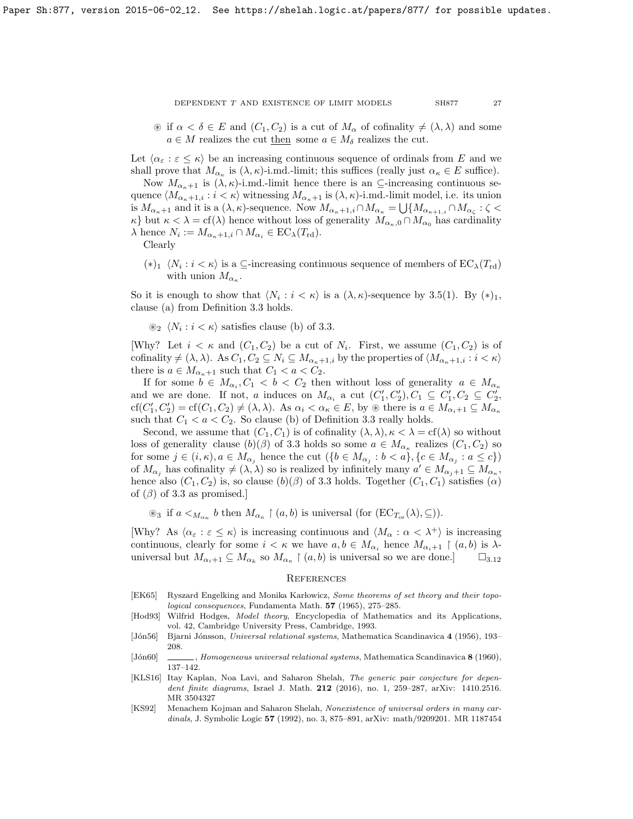$\mathcal{F}$  if  $\alpha < \delta \in E$  and  $(C_1, C_2)$  is a cut of  $M_\alpha$  of cofinality  $\neq (\lambda, \lambda)$  and some  $a \in M$  realizes the cut then some  $a \in M_{\delta}$  realizes the cut.

Let  $\langle \alpha_{\varepsilon} : \varepsilon \leq \kappa \rangle$  be an increasing continuous sequence of ordinals from E and we shall prove that  $M_{\alpha_{\kappa}}$  is  $(\lambda, \kappa)$ -i.md.-limit; this suffices (really just  $\alpha_{\kappa} \in E$  suffice).

Now  $M_{\alpha_{\kappa}+1}$  is  $(\lambda, \kappa)$ -i.md.-limit hence there is an  $\subseteq$ -increasing continuous sequence  $\langle M_{\alpha_{\kappa}+1,i} : i < \kappa \rangle$  witnessing  $M_{\alpha_{\kappa}+1}$  is  $(\lambda, \kappa)$ -i.md.-limit model, i.e. its union is  $M_{\alpha_{\kappa}+1}$  and it is a  $(\lambda,\kappa)$ -sequence. Now  $M_{\alpha_{\kappa}+1,i} \cap M_{\alpha_{\kappa}} = \bigcup \{M_{\alpha_{\kappa+1,i}} \cap M_{\alpha_{\zeta}} : \zeta$  $\kappa$ } but  $\kappa < \lambda = cf(\lambda)$  hence without loss of generality  $M_{\alpha_{\kappa},0} \cap M_{\alpha_0}$  has cardinality  $\lambda$  hence  $N_i := M_{\alpha_{\kappa}+1,i} \cap M_{\alpha_i} \in EC_{\lambda}(T_{\rm rd}).$ 

Clearly

 $(*)_1 \langle N_i : i < \kappa \rangle$  is a ⊆-increasing continuous sequence of members of  $EC_{\lambda}(T_{\rm rd})$ with union  $M_{\alpha_{\kappa}}$ .

So it is enough to show that  $\langle N_i : i < \kappa \rangle$  is a  $(\lambda, \kappa)$ -sequence by [3.5\(](#page-22-0)1). By  $(*)_1$ , clause (a) from Definition [3.3](#page-22-1) holds.

 $\otimes_2 \langle N_i : i < \kappa \rangle$  satisfies clause (b) of [3.3.](#page-22-1)

[Why? Let  $i < \kappa$  and  $(C_1, C_2)$  be a cut of  $N_i$ . First, we assume  $(C_1, C_2)$  is of cofinality  $\neq (\lambda, \lambda)$ . As  $C_1, C_2 \subseteq N_i \subseteq M_{\alpha_{\kappa}+1,i}$  by the properties of  $\langle M_{\alpha_{\kappa}+1,i} : i < \kappa \rangle$ there is  $a \in M_{\alpha_{\kappa}+1}$  such that  $C_1 < a < C_2$ .

If for some  $b \in M_{\alpha_i}, C_1 < b < C_2$  then without loss of generality  $a \in M_{\alpha_{\kappa}}$ and we are done. If not, a induces on  $M_{\alpha_i}$  a cut  $(C'_1, C'_2), C_1 \subseteq C'_1, C_2 \subseteq C'_2$ ,  $cf(C'_1, C'_2) = cf(C_1, C_2) \neq (\lambda, \lambda)$ . As  $\alpha_i < \alpha_{\kappa} \in E$ , by  $\circledast$  there is  $a \in M_{\alpha_{i+1}} \subseteq M_{\alpha_{\kappa}}$ such that  $C_1 < a < C_2$ . So clause (b) of Definition [3.3](#page-22-1) really holds.

Second, we assume that  $(C_1, C_1)$  is of cofinality  $(\lambda, \lambda), \kappa < \lambda = \text{cf}(\lambda)$  so without loss of generality clause  $(b)(\beta)$  of [3.3](#page-22-1) holds so some  $a \in M_{\alpha_{\kappa}}$  realizes  $(C_1, C_2)$  so for some  $j \in (i, \kappa)$ ,  $a \in M_{\alpha_j}$  hence the cut  $(\{b \in M_{\alpha_j} : b < a\}, \{c \in M_{\alpha_j} : a \leq c\})$ of  $M_{\alpha_j}$  has cofinality  $\neq (\lambda, \lambda)$  so is realized by infinitely many  $a' \in M_{\alpha_{j+1}} \subseteq M_{\alpha_{\kappa}},$ hence also  $(C_1, C_2)$  is, so clause  $(b)(\beta)$  of [3.3](#page-22-1) holds. Together  $(C_1, C_1)$  satisfies  $(\alpha)$ of  $(\beta)$  of [3.3](#page-22-1) as promised.]

 $\otimes_3$  if  $a <_{M_{\alpha_{\kappa}}} b$  then  $M_{\alpha_{\kappa}} \restriction (a, b)$  is universal (for  $(\mathrm{EC}_{T_{\mathrm{or}}}(\lambda), \subseteq)$ ).

[Why? As  $\langle \alpha_{\varepsilon} : \varepsilon \leq \kappa \rangle$  is increasing continuous and  $\langle M_{\alpha} : \alpha < \lambda^+ \rangle$  is increasing continuous, clearly for some  $i < \kappa$  we have  $a, b \in M_{\alpha_i}$  hence  $M_{\alpha_i+1} \restriction (a, b)$  is  $\lambda$ universal but  $M_{\alpha_i+1} \subseteq M_{\alpha_k}$  so  $M_{\alpha_k} \restriction (a, b)$  is universal so we are done.

# **REFERENCES**

- <span id="page-26-5"></span>[EK65] Ryszard Engelking and Monika Karlowicz, Some theorems of set theory and their topological consequences, Fundamenta Math. 57 (1965), 275–285.
- <span id="page-26-2"></span>[Hod93] Wilfrid Hodges, *Model theory*, Encyclopedia of Mathematics and its Applications, vol. 42, Cambridge University Press, Cambridge, 1993.
- <span id="page-26-0"></span>[Jón56] Bjarni Jónsson, Universal relational systems, Mathematica Scandinavica 4 (1956), 193– 208.
- <span id="page-26-1"></span>[Jon60] , Homogeneous universal relational systems, Mathematica Scandinavica 8 (1960), 137–142.
- <span id="page-26-4"></span>[KLS16] Itay Kaplan, Noa Lavi, and Saharon Shelah, The generic pair conjecture for dependent finite diagrams, Israel J. Math. 212 (2016), no. 1, 259–287, [arXiv: 1410.2516.](https://arxiv.org/abs/1410.2516) MR 3504327
- <span id="page-26-3"></span>[KS92] Menachem Kojman and Saharon Shelah, Nonexistence of universal orders in many cardinals, J. Symbolic Logic 57 (1992), no. 3, 875–891, [arXiv: math/9209201.](https://arxiv.org/abs/math/9209201) MR 1187454